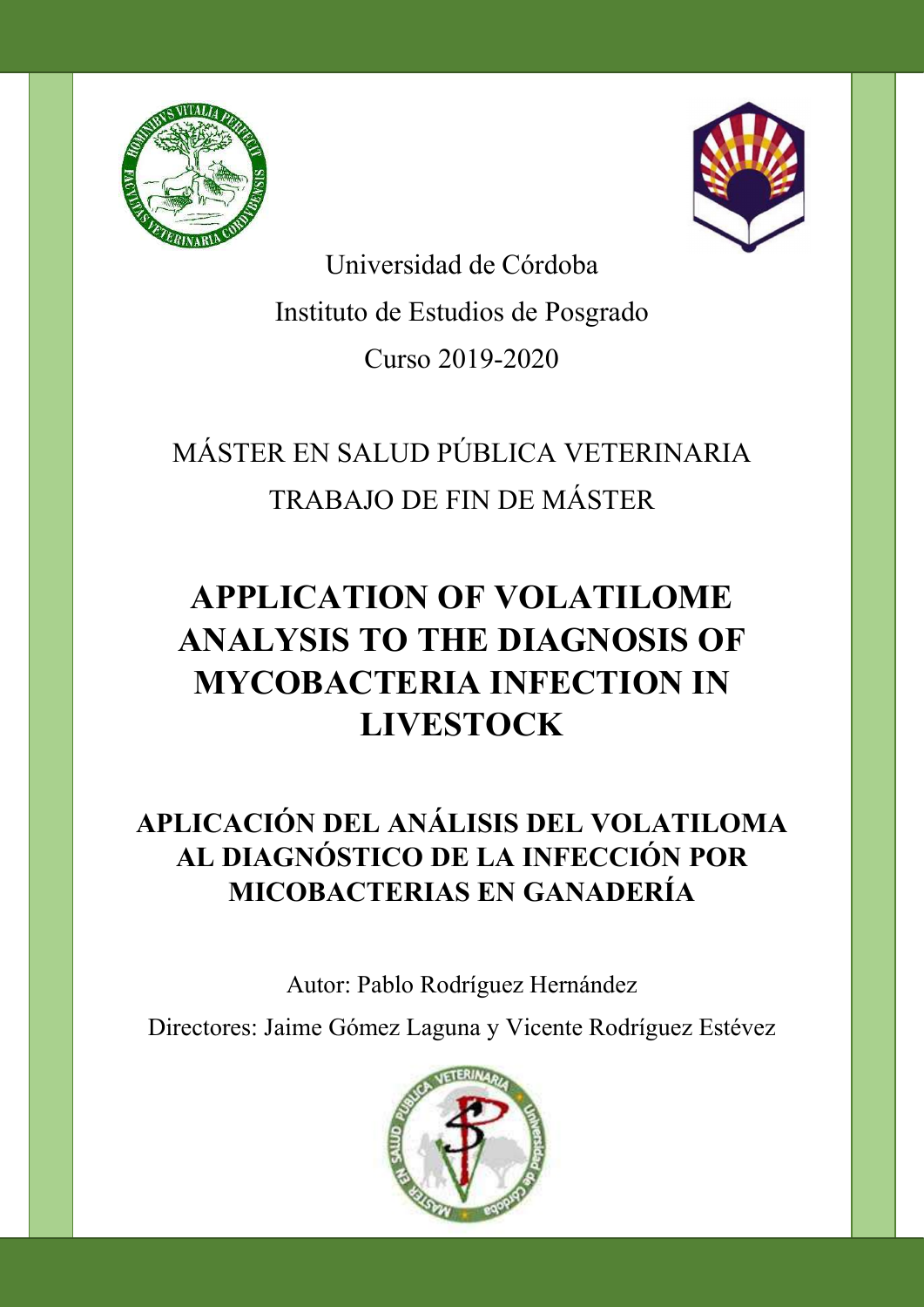



Universidad de Córdoba Instituto de Estudios de Posgrado Curso 2019-2020

# MÁSTER EN SALUD PÚBLICA VETERINARIA TRABAJO DE FIN DE MÁSTER

# APPLICATION OF VOLATILOME ANALYSIS TO THE DIAGNOSIS OF MYCOBACTERIA INFECTION IN LIVESTOCK

## APLICACIÓN DEL ANÁLISIS DEL VOLATILOMA AL DIAGNÓSTICO DE LA INFECCIÓN POR MICOBACTERIAS EN GANADERÍA

Autor: Pablo Rodríguez Hernández

Directores: Jaime Gómez Laguna y Vicente Rodríguez Estévez

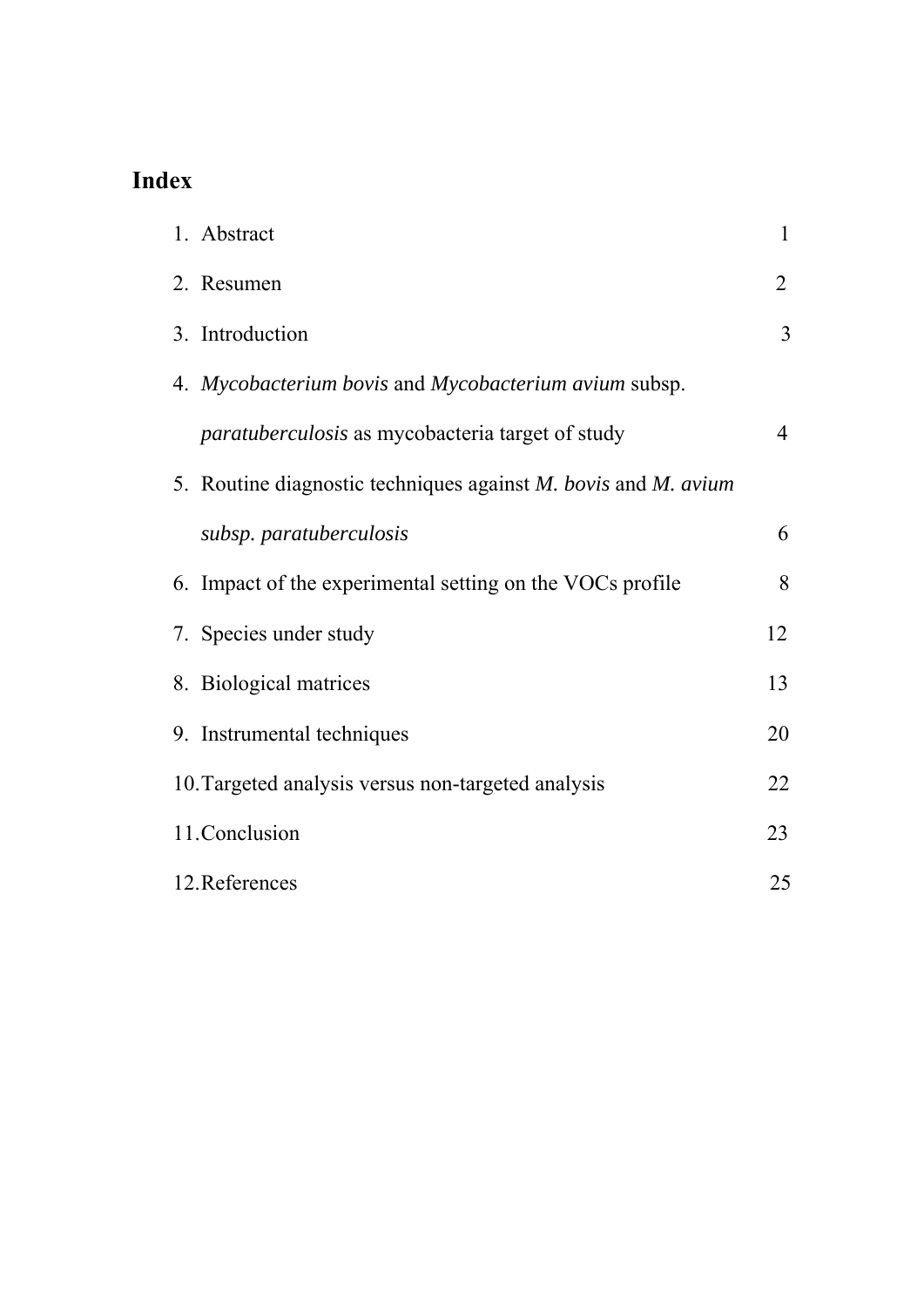## **Index**

| 1. Abstract                                                                  | 1              |
|------------------------------------------------------------------------------|----------------|
| 2. Resumen                                                                   | $\overline{2}$ |
| 3. Introduction                                                              | 3              |
| 4. Mycobacterium bovis and Mycobacterium avium subsp.                        |                |
| <i>paratuberculosis</i> as mycobacteria target of study                      | $\overline{4}$ |
| 5. Routine diagnostic techniques against <i>M. bovis</i> and <i>M. avium</i> |                |
| subsp. paratuberculosis                                                      | 6              |
| 6. Impact of the experimental setting on the VOCs profile                    | 8              |
| 7. Species under study                                                       | 12             |
| 8. Biological matrices                                                       | 13             |
| 9. Instrumental techniques                                                   | 20             |
| 10. Targeted analysis versus non-targeted analysis                           | 22             |
| 11.Conclusion                                                                | 23             |
| 12. References                                                               | 25             |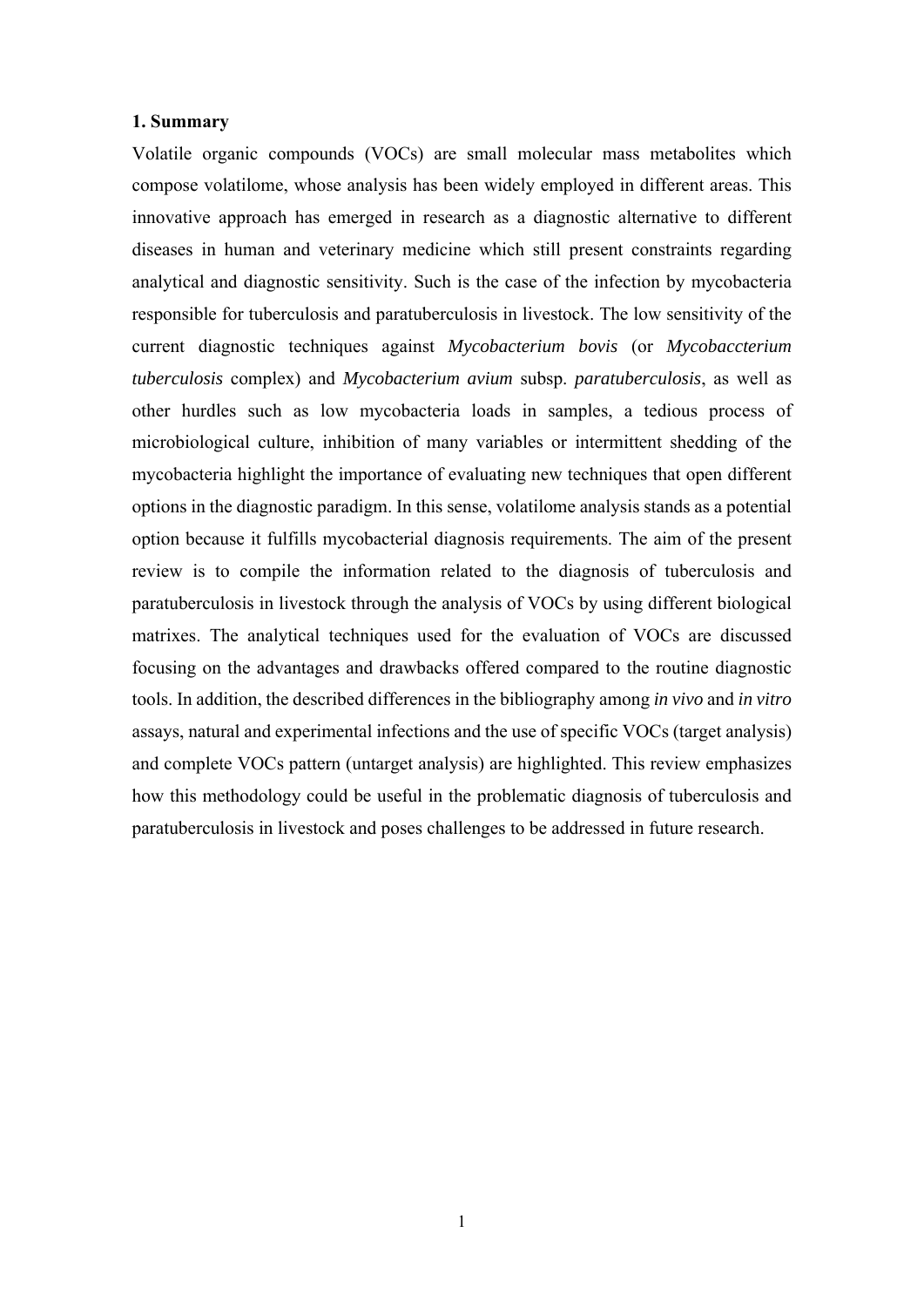#### **1. Summary**

Volatile organic compounds (VOCs) are small molecular mass metabolites which compose volatilome, whose analysis has been widely employed in different areas. This innovative approach has emerged in research as a diagnostic alternative to different diseases in human and veterinary medicine which still present constraints regarding analytical and diagnostic sensitivity. Such is the case of the infection by mycobacteria responsible for tuberculosis and paratuberculosis in livestock. The low sensitivity of the current diagnostic techniques against *Mycobacterium bovis* (or *Mycobaccterium tuberculosis* complex) and *Mycobacterium avium* subsp. *paratuberculosis*, as well as other hurdles such as low mycobacteria loads in samples, a tedious process of microbiological culture, inhibition of many variables or intermittent shedding of the mycobacteria highlight the importance of evaluating new techniques that open different options in the diagnostic paradigm. In this sense, volatilome analysis stands as a potential option because it fulfills mycobacterial diagnosis requirements. The aim of the present review is to compile the information related to the diagnosis of tuberculosis and paratuberculosis in livestock through the analysis of VOCs by using different biological matrixes. The analytical techniques used for the evaluation of VOCs are discussed focusing on the advantages and drawbacks offered compared to the routine diagnostic tools. In addition, the described differences in the bibliography among *in vivo* and *in vitro* assays, natural and experimental infections and the use of specific VOCs (target analysis) and complete VOCs pattern (untarget analysis) are highlighted. This review emphasizes how this methodology could be useful in the problematic diagnosis of tuberculosis and paratuberculosis in livestock and poses challenges to be addressed in future research.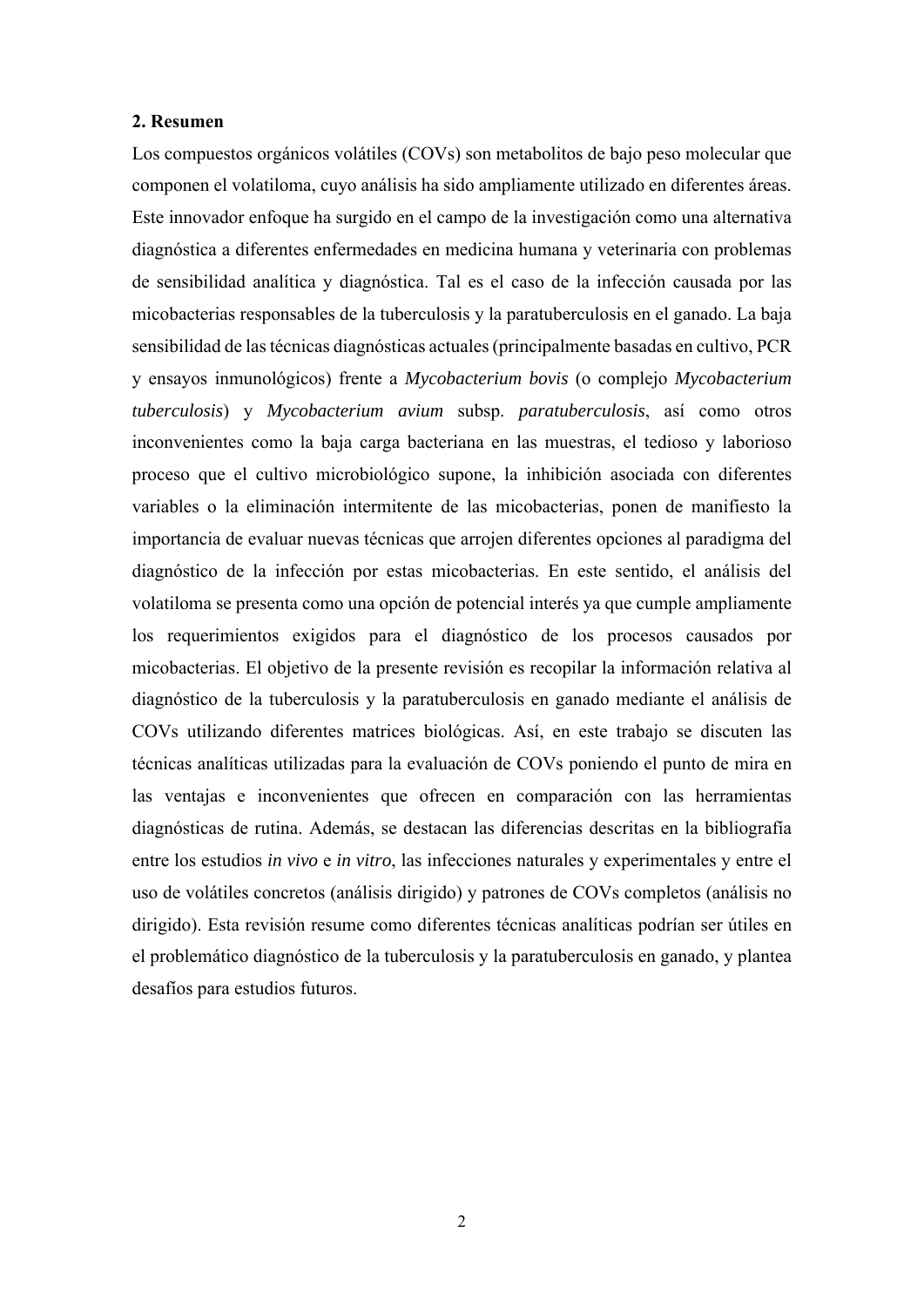#### **2. Resumen**

Los compuestos orgánicos volátiles (COVs) son metabolitos de bajo peso molecular que componen el volatiloma, cuyo análisis ha sido ampliamente utilizado en diferentes áreas. Este innovador enfoque ha surgido en el campo de la investigación como una alternativa diagnóstica a diferentes enfermedades en medicina humana y veterinaria con problemas de sensibilidad analítica y diagnóstica. Tal es el caso de la infección causada por las micobacterias responsables de la tuberculosis y la paratuberculosis en el ganado. La baja sensibilidad de las técnicas diagnósticas actuales (principalmente basadas en cultivo, PCR y ensayos inmunológicos) frente a *Mycobacterium bovis* (o complejo *Mycobacterium tuberculosis*) y *Mycobacterium avium* subsp. *paratuberculosis*, así como otros inconvenientes como la baja carga bacteriana en las muestras, el tedioso y laborioso proceso que el cultivo microbiológico supone, la inhibición asociada con diferentes variables o la eliminación intermitente de las micobacterias, ponen de manifiesto la importancia de evaluar nuevas técnicas que arrojen diferentes opciones al paradigma del diagnóstico de la infección por estas micobacterias. En este sentido, el análisis del volatiloma se presenta como una opción de potencial interés ya que cumple ampliamente los requerimientos exigidos para el diagnóstico de los procesos causados por micobacterias. El objetivo de la presente revisión es recopilar la información relativa al diagnóstico de la tuberculosis y la paratuberculosis en ganado mediante el análisis de COVs utilizando diferentes matrices biológicas. Así, en este trabajo se discuten las técnicas analíticas utilizadas para la evaluación de COVs poniendo el punto de mira en las ventajas e inconvenientes que ofrecen en comparación con las herramientas diagnósticas de rutina. Además, se destacan las diferencias descritas en la bibliografía entre los estudios *in vivo* e *in vitro*, las infecciones naturales y experimentales y entre el uso de volátiles concretos (análisis dirigido) y patrones de COVs completos (análisis no dirigido). Esta revisión resume como diferentes técnicas analíticas podrían ser útiles en el problemático diagnóstico de la tuberculosis y la paratuberculosis en ganado, y plantea desafíos para estudios futuros.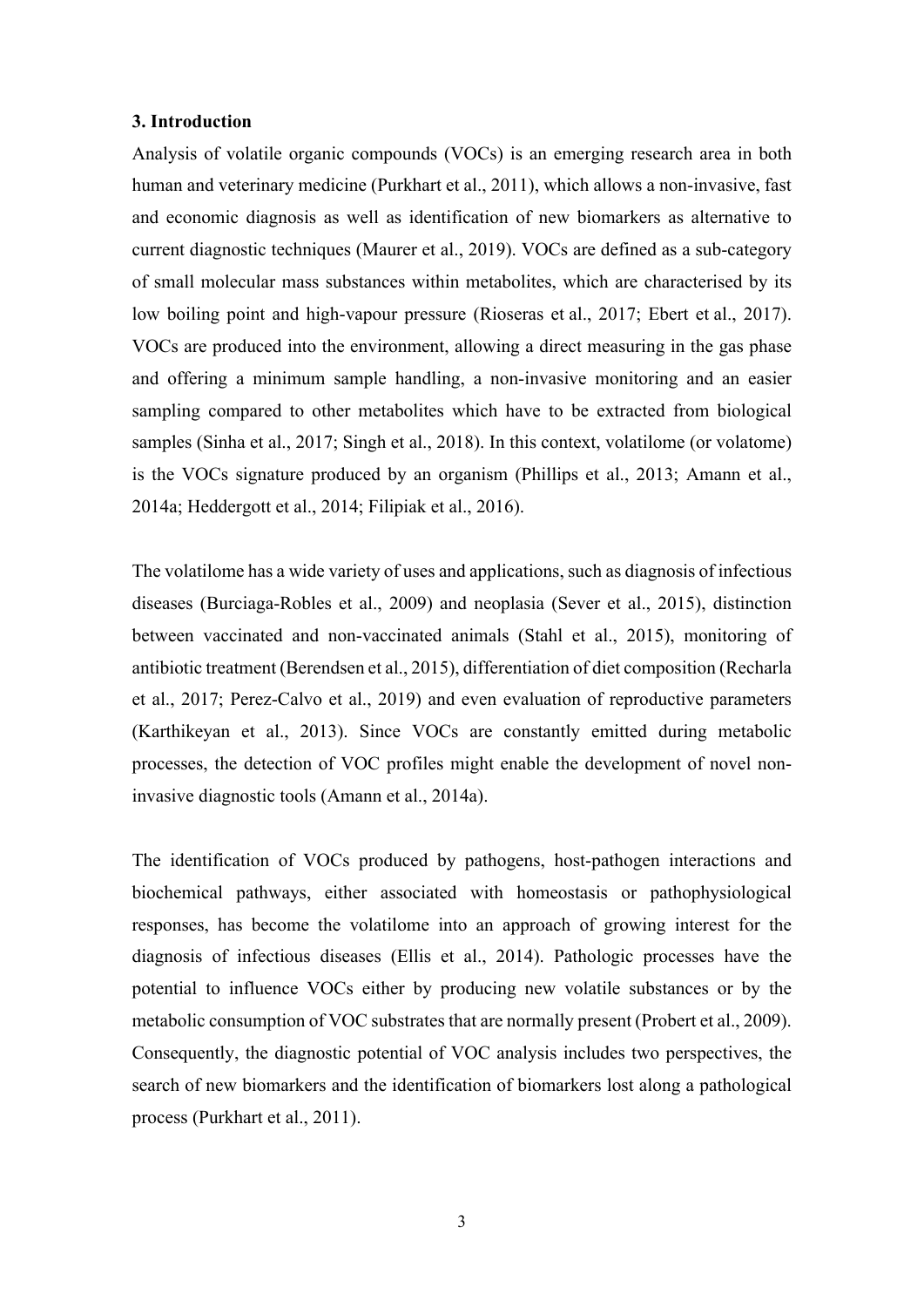#### **3. Introduction**

Analysis of volatile organic compounds (VOCs) is an emerging research area in both human and veterinary medicine (Purkhart et al., 2011), which allows a non-invasive, fast and economic diagnosis as well as identification of new biomarkers as alternative to current diagnostic techniques (Maurer et al., 2019). VOCs are defined as a sub-category of small molecular mass substances within metabolites, which are characterised by its low boiling point and high-vapour pressure (Rioseras et al., 2017; Ebert et al., 2017). VOCs are produced into the environment, allowing a direct measuring in the gas phase and offering a minimum sample handling, a non-invasive monitoring and an easier sampling compared to other metabolites which have to be extracted from biological samples (Sinha et al., 2017; Singh et al., 2018). In this context, volatilome (or volatome) is the VOCs signature produced by an organism (Phillips et al., 2013; Amann et al., 2014a; Heddergott et al., 2014; Filipiak et al., 2016).

The volatilome has a wide variety of uses and applications, such as diagnosis of infectious diseases (Burciaga-Robles et al., 2009) and neoplasia (Sever et al., 2015), distinction between vaccinated and non-vaccinated animals (Stahl et al., 2015), monitoring of antibiotic treatment (Berendsen et al., 2015), differentiation of diet composition (Recharla et al., 2017; Perez-Calvo et al., 2019) and even evaluation of reproductive parameters (Karthikeyan et al., 2013). Since VOCs are constantly emitted during metabolic processes, the detection of VOC profiles might enable the development of novel noninvasive diagnostic tools (Amann et al., 2014a).

The identification of VOCs produced by pathogens, host-pathogen interactions and biochemical pathways, either associated with homeostasis or pathophysiological responses, has become the volatilome into an approach of growing interest for the diagnosis of infectious diseases (Ellis et al., 2014). Pathologic processes have the potential to influence VOCs either by producing new volatile substances or by the metabolic consumption of VOC substrates that are normally present (Probert et al., 2009). Consequently, the diagnostic potential of VOC analysis includes two perspectives, the search of new biomarkers and the identification of biomarkers lost along a pathological process (Purkhart et al., 2011).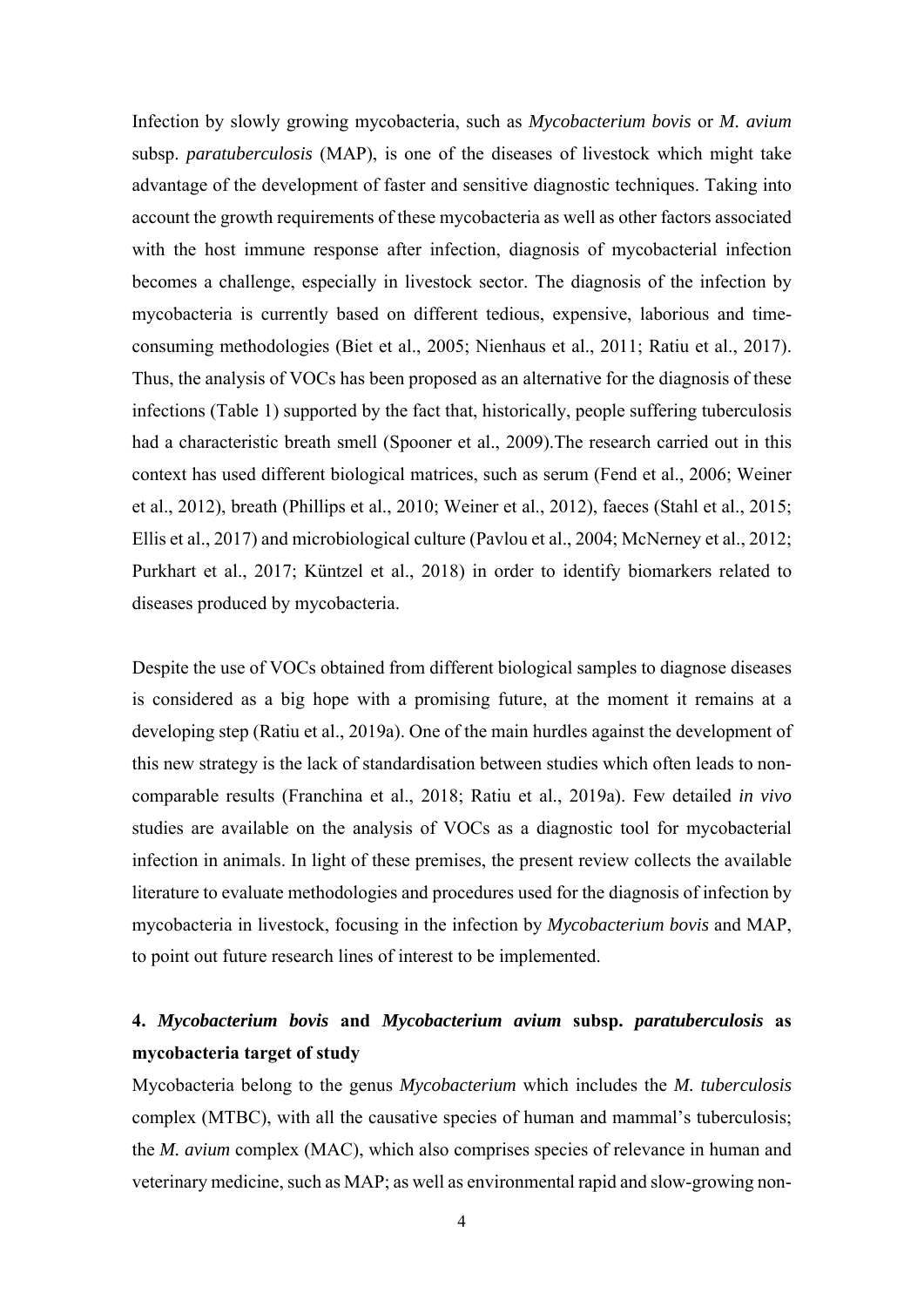Infection by slowly growing mycobacteria, such as *Mycobacterium bovis* or *M. avium* subsp. *paratuberculosis* (MAP), is one of the diseases of livestock which might take advantage of the development of faster and sensitive diagnostic techniques. Taking into account the growth requirements of these mycobacteria as well as other factors associated with the host immune response after infection, diagnosis of mycobacterial infection becomes a challenge, especially in livestock sector. The diagnosis of the infection by mycobacteria is currently based on different tedious, expensive, laborious and timeconsuming methodologies (Biet et al., 2005; Nienhaus et al., 2011; Ratiu et al., 2017). Thus, the analysis of VOCs has been proposed as an alternative for the diagnosis of these infections (Table 1) supported by the fact that, historically, people suffering tuberculosis had a characteristic breath smell (Spooner et al., 2009).The research carried out in this context has used different biological matrices, such as serum (Fend et al., 2006; Weiner et al., 2012), breath (Phillips et al., 2010; Weiner et al., 2012), faeces (Stahl et al., 2015; Ellis et al., 2017) and microbiological culture (Pavlou et al., 2004; McNerney et al., 2012; Purkhart et al., 2017; Küntzel et al., 2018) in order to identify biomarkers related to diseases produced by mycobacteria.

Despite the use of VOCs obtained from different biological samples to diagnose diseases is considered as a big hope with a promising future, at the moment it remains at a developing step (Ratiu et al., 2019a). One of the main hurdles against the development of this new strategy is the lack of standardisation between studies which often leads to noncomparable results (Franchina et al., 2018; Ratiu et al., 2019a). Few detailed *in vivo* studies are available on the analysis of VOCs as a diagnostic tool for mycobacterial infection in animals. In light of these premises, the present review collects the available literature to evaluate methodologies and procedures used for the diagnosis of infection by mycobacteria in livestock, focusing in the infection by *Mycobacterium bovis* and MAP, to point out future research lines of interest to be implemented.

## **4.** *Mycobacterium bovis* **and** *Mycobacterium avium* **subsp.** *paratuberculosis* **as mycobacteria target of study**

Mycobacteria belong to the genus *Mycobacterium* which includes the *M. tuberculosis* complex (MTBC), with all the causative species of human and mammal's tuberculosis; the *M. avium* complex (MAC), which also comprises species of relevance in human and veterinary medicine, such as MAP; as well as environmental rapid and slow-growing non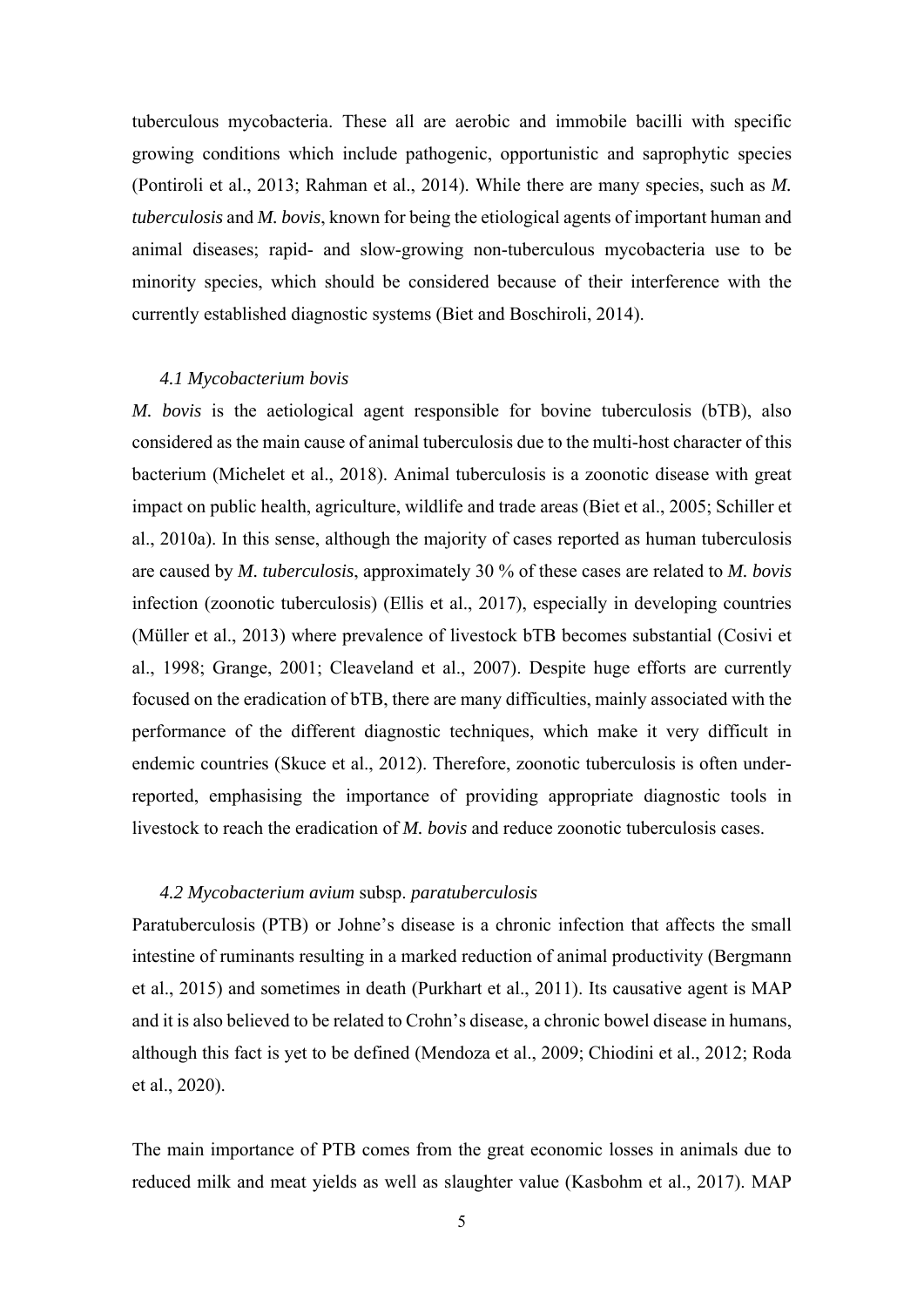tuberculous mycobacteria. These all are aerobic and immobile bacilli with specific growing conditions which include pathogenic, opportunistic and saprophytic species (Pontiroli et al., 2013; Rahman et al., 2014). While there are many species, such as *M. tuberculosis* and *M. bovis*, known for being the etiological agents of important human and animal diseases; rapid- and slow-growing non-tuberculous mycobacteria use to be minority species, which should be considered because of their interference with the currently established diagnostic systems (Biet and Boschiroli, 2014).

#### *4.1 Mycobacterium bovis*

*M. bovis* is the aetiological agent responsible for bovine tuberculosis (bTB), also considered as the main cause of animal tuberculosis due to the multi-host character of this bacterium (Michelet et al., 2018). Animal tuberculosis is a zoonotic disease with great impact on public health, agriculture, wildlife and trade areas (Biet et al., 2005; Schiller et al., 2010a). In this sense, although the majority of cases reported as human tuberculosis are caused by *M. tuberculosis*, approximately 30 % of these cases are related to *M. bovis* infection (zoonotic tuberculosis) (Ellis et al., 2017), especially in developing countries (Müller et al., 2013) where prevalence of livestock bTB becomes substantial (Cosivi et al., 1998; Grange, 2001; Cleaveland et al., 2007). Despite huge efforts are currently focused on the eradication of bTB, there are many difficulties, mainly associated with the performance of the different diagnostic techniques, which make it very difficult in endemic countries (Skuce et al., 2012). Therefore, zoonotic tuberculosis is often underreported, emphasising the importance of providing appropriate diagnostic tools in livestock to reach the eradication of *M. bovis* and reduce zoonotic tuberculosis cases.

#### *4.2 Mycobacterium avium* subsp. *paratuberculosis*

Paratuberculosis (PTB) or Johne's disease is a chronic infection that affects the small intestine of ruminants resulting in a marked reduction of animal productivity (Bergmann et al., 2015) and sometimes in death (Purkhart et al., 2011). Its causative agent is MAP and it is also believed to be related to Crohn's disease, a chronic bowel disease in humans, although this fact is yet to be defined (Mendoza et al., 2009; Chiodini et al., 2012; Roda et al., 2020).

The main importance of PTB comes from the great economic losses in animals due to reduced milk and meat yields as well as slaughter value (Kasbohm et al., 2017). MAP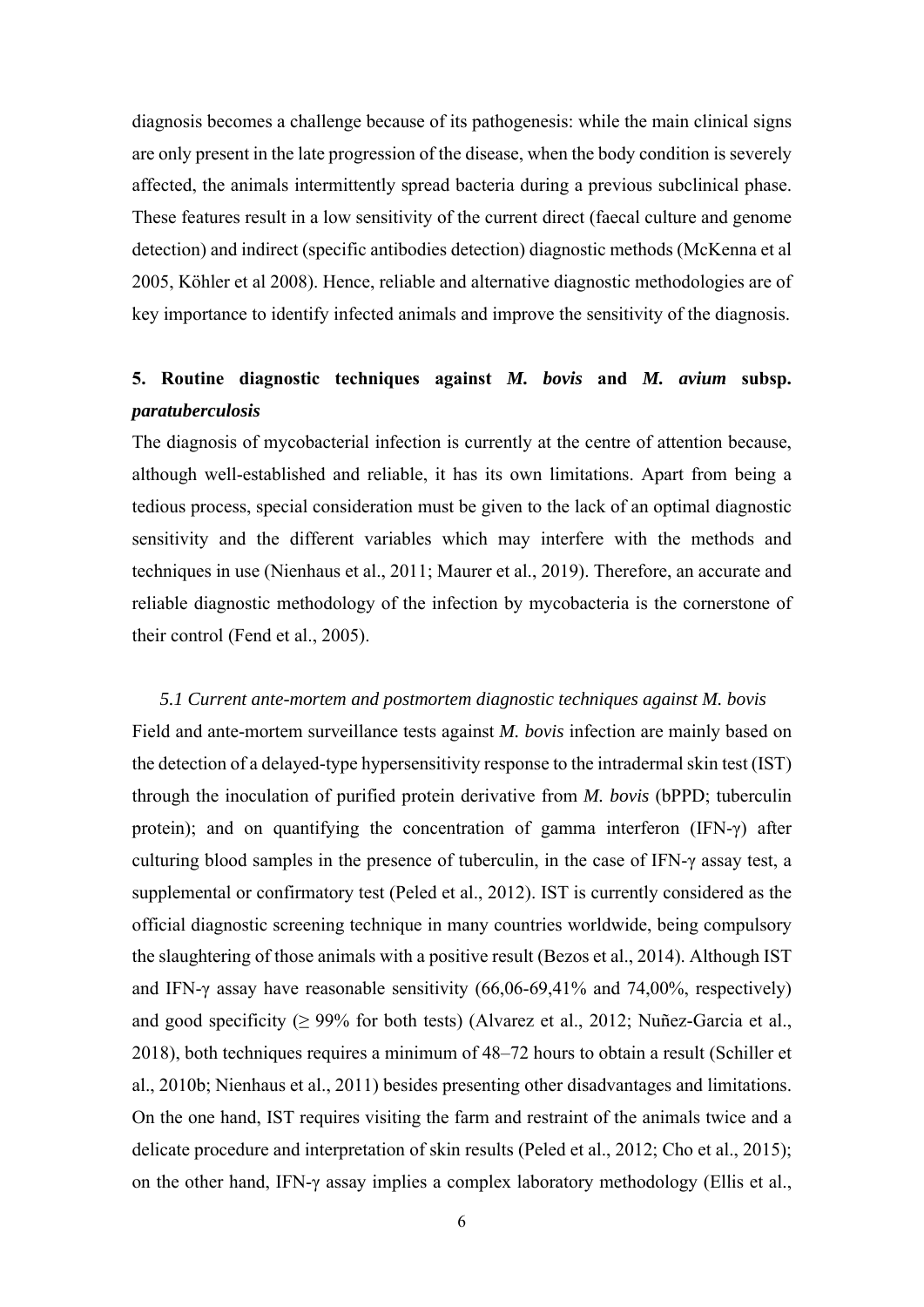diagnosis becomes a challenge because of its pathogenesis: while the main clinical signs are only present in the late progression of the disease, when the body condition is severely affected, the animals intermittently spread bacteria during a previous subclinical phase. These features result in a low sensitivity of the current direct (faecal culture and genome detection) and indirect (specific antibodies detection) diagnostic methods (McKenna et al 2005, Köhler et al 2008). Hence, reliable and alternative diagnostic methodologies are of key importance to identify infected animals and improve the sensitivity of the diagnosis.

### **5. Routine diagnostic techniques against** *M. bovis* **and** *M. avium* **subsp.**  *paratuberculosis*

The diagnosis of mycobacterial infection is currently at the centre of attention because, although well-established and reliable, it has its own limitations. Apart from being a tedious process, special consideration must be given to the lack of an optimal diagnostic sensitivity and the different variables which may interfere with the methods and techniques in use (Nienhaus et al., 2011; Maurer et al., 2019). Therefore, an accurate and reliable diagnostic methodology of the infection by mycobacteria is the cornerstone of their control (Fend et al., 2005).

*5.1 Current ante-mortem and postmortem diagnostic techniques against M. bovis*  Field and ante-mortem surveillance tests against *M. bovis* infection are mainly based on the detection of a delayed-type hypersensitivity response to the intradermal skin test (IST) through the inoculation of purified protein derivative from *M. bovis* (bPPD; tuberculin protein); and on quantifying the concentration of gamma interferon (IFN- $\gamma$ ) after culturing blood samples in the presence of tuberculin, in the case of IFN-γ assay test, a supplemental or confirmatory test (Peled et al., 2012). IST is currently considered as the official diagnostic screening technique in many countries worldwide, being compulsory the slaughtering of those animals with a positive result (Bezos et al., 2014). Although IST and IFN-γ assay have reasonable sensitivity (66,06-69,41% and 74,00%, respectively) and good specificity ( $\geq$  99% for both tests) (Alvarez et al., 2012; Nuñez-Garcia et al., 2018), both techniques requires a minimum of 48–72 hours to obtain a result (Schiller et al., 2010b; Nienhaus et al., 2011) besides presenting other disadvantages and limitations. On the one hand, IST requires visiting the farm and restraint of the animals twice and a delicate procedure and interpretation of skin results (Peled et al., 2012; Cho et al., 2015); on the other hand, IFN-γ assay implies a complex laboratory methodology (Ellis et al.,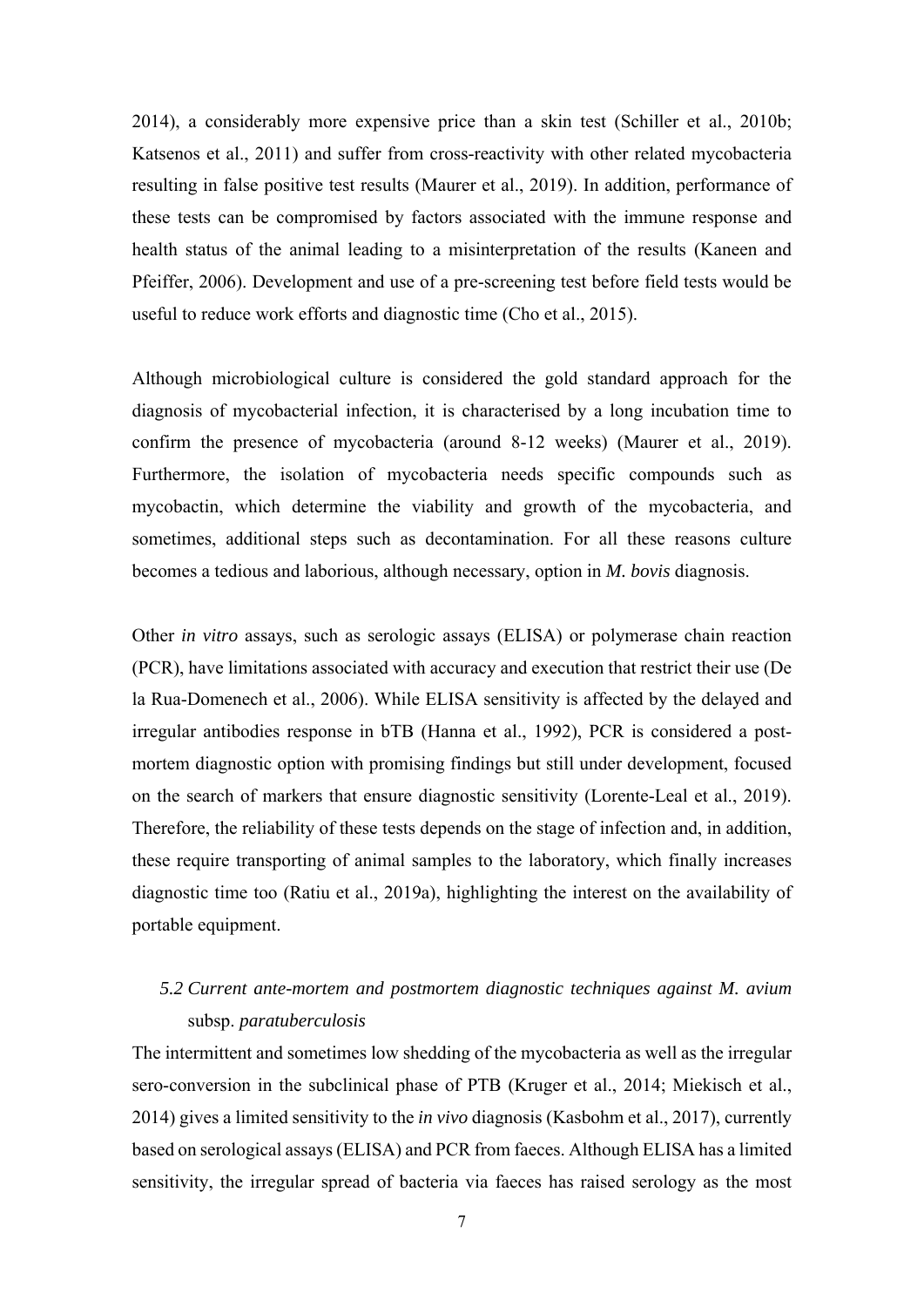2014), a considerably more expensive price than a skin test (Schiller et al., 2010b; Katsenos et al., 2011) and suffer from cross-reactivity with other related mycobacteria resulting in false positive test results (Maurer et al., 2019). In addition, performance of these tests can be compromised by factors associated with the immune response and health status of the animal leading to a misinterpretation of the results (Kaneen and Pfeiffer, 2006). Development and use of a pre-screening test before field tests would be useful to reduce work efforts and diagnostic time (Cho et al., 2015).

Although microbiological culture is considered the gold standard approach for the diagnosis of mycobacterial infection, it is characterised by a long incubation time to confirm the presence of mycobacteria (around 8-12 weeks) (Maurer et al., 2019). Furthermore, the isolation of mycobacteria needs specific compounds such as mycobactin, which determine the viability and growth of the mycobacteria, and sometimes, additional steps such as decontamination. For all these reasons culture becomes a tedious and laborious, although necessary, option in *M. bovis* diagnosis.

Other *in vitro* assays, such as serologic assays (ELISA) or polymerase chain reaction (PCR), have limitations associated with accuracy and execution that restrict their use (De la Rua-Domenech et al., 2006). While ELISA sensitivity is affected by the delayed and irregular antibodies response in bTB (Hanna et al., 1992), PCR is considered a postmortem diagnostic option with promising findings but still under development, focused on the search of markers that ensure diagnostic sensitivity (Lorente-Leal et al., 2019). Therefore, the reliability of these tests depends on the stage of infection and, in addition, these require transporting of animal samples to the laboratory, which finally increases diagnostic time too (Ratiu et al., 2019a), highlighting the interest on the availability of portable equipment.

### *5.2 Current ante-mortem and postmortem diagnostic techniques against M. avium*  subsp. *paratuberculosis*

The intermittent and sometimes low shedding of the mycobacteria as well as the irregular sero-conversion in the subclinical phase of PTB (Kruger et al., 2014; Miekisch et al., 2014) gives a limited sensitivity to the *in vivo* diagnosis (Kasbohm et al., 2017), currently based on serological assays (ELISA) and PCR from faeces. Although ELISA has a limited sensitivity, the irregular spread of bacteria via faeces has raised serology as the most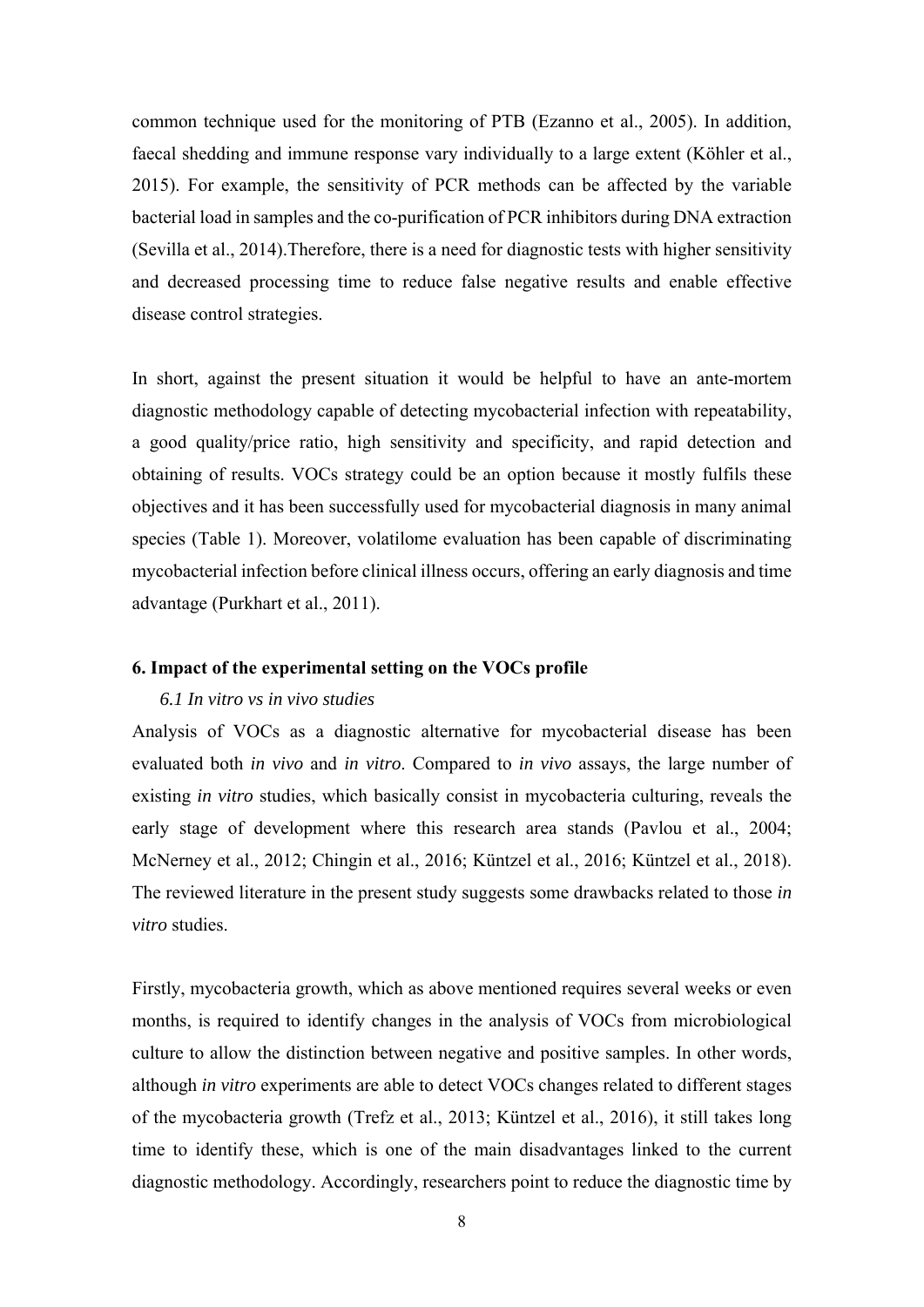common technique used for the monitoring of PTB (Ezanno et al., 2005). In addition, faecal shedding and immune response vary individually to a large extent (Köhler et al., 2015). For example, the sensitivity of PCR methods can be affected by the variable bacterial load in samples and the co-purification of PCR inhibitors during DNA extraction (Sevilla et al., 2014).Therefore, there is a need for diagnostic tests with higher sensitivity and decreased processing time to reduce false negative results and enable effective disease control strategies.

In short, against the present situation it would be helpful to have an ante-mortem diagnostic methodology capable of detecting mycobacterial infection with repeatability, a good quality/price ratio, high sensitivity and specificity, and rapid detection and obtaining of results. VOCs strategy could be an option because it mostly fulfils these objectives and it has been successfully used for mycobacterial diagnosis in many animal species (Table 1). Moreover, volatilome evaluation has been capable of discriminating mycobacterial infection before clinical illness occurs, offering an early diagnosis and time advantage (Purkhart et al., 2011).

#### **6. Impact of the experimental setting on the VOCs profile**

#### *6.1 In vitro vs in vivo studies*

Analysis of VOCs as a diagnostic alternative for mycobacterial disease has been evaluated both *in vivo* and *in vitro*. Compared to *in vivo* assays, the large number of existing *in vitro* studies, which basically consist in mycobacteria culturing, reveals the early stage of development where this research area stands (Pavlou et al., 2004; McNerney et al., 2012; Chingin et al., 2016; Küntzel et al., 2016; Küntzel et al., 2018). The reviewed literature in the present study suggests some drawbacks related to those *in vitro* studies.

Firstly, mycobacteria growth, which as above mentioned requires several weeks or even months, is required to identify changes in the analysis of VOCs from microbiological culture to allow the distinction between negative and positive samples. In other words, although *in vitro* experiments are able to detect VOCs changes related to different stages of the mycobacteria growth (Trefz et al., 2013; Küntzel et al., 2016), it still takes long time to identify these, which is one of the main disadvantages linked to the current diagnostic methodology. Accordingly, researchers point to reduce the diagnostic time by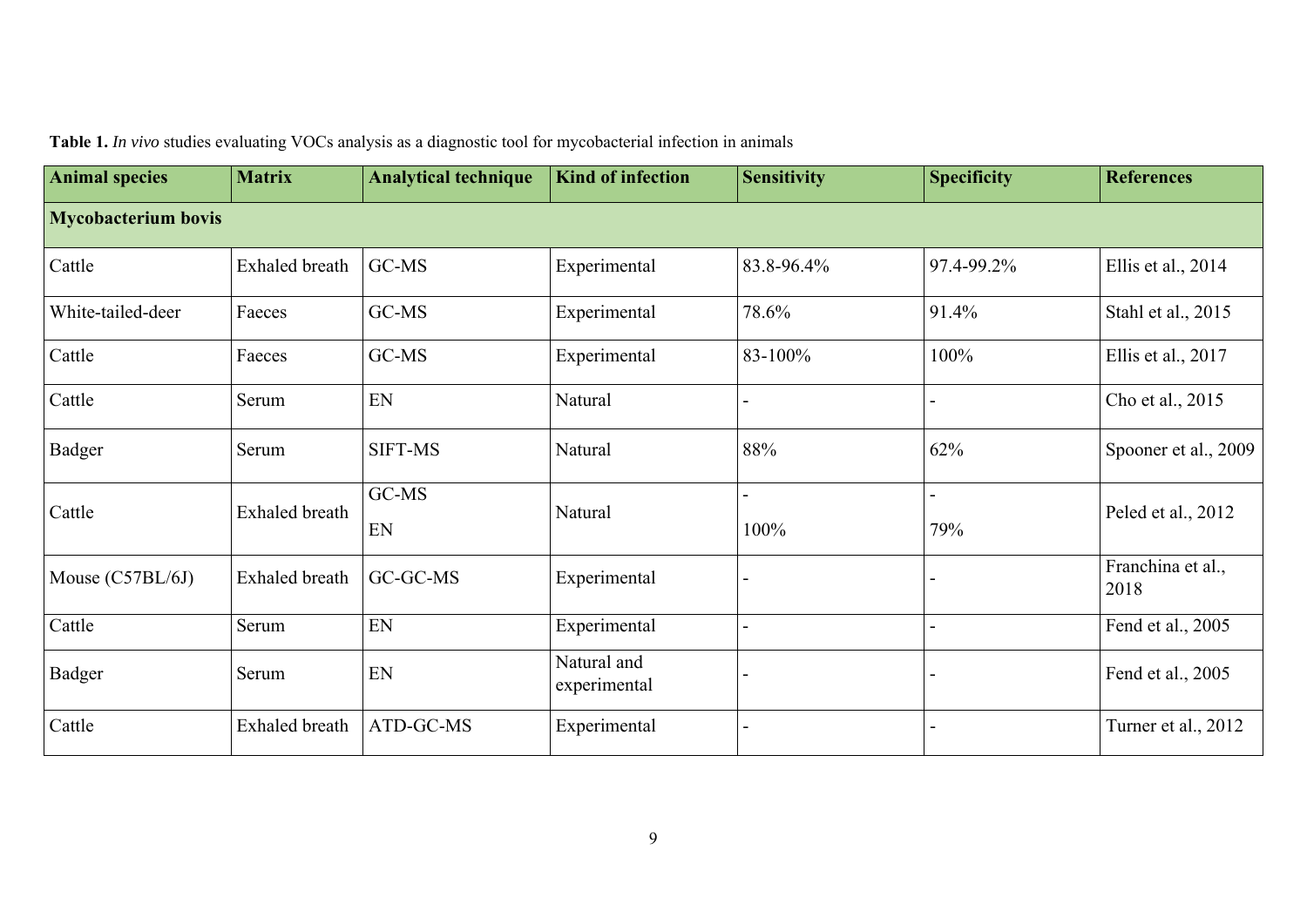| <b>Animal species</b>      | <b>Matrix</b>         | <b>Analytical technique</b> | <b>Kind of infection</b>    | <b>Sensitivity</b> | <b>Specificity</b> | <b>References</b>         |
|----------------------------|-----------------------|-----------------------------|-----------------------------|--------------------|--------------------|---------------------------|
| <b>Mycobacterium bovis</b> |                       |                             |                             |                    |                    |                           |
| Cattle                     | <b>Exhaled</b> breath | GC-MS                       | Experimental                | 83.8-96.4%         | 97.4-99.2%         | Ellis et al., 2014        |
| White-tailed-deer          | Faeces                | GC-MS                       | Experimental                | 78.6%              | 91.4%              | Stahl et al., 2015        |
| Cattle                     | Faeces                | GC-MS                       | Experimental                | 83-100%            | 100%               | Ellis et al., 2017        |
| Cattle                     | Serum                 | EN                          | Natural                     |                    |                    | Cho et al., 2015          |
| Badger                     | Serum                 | <b>SIFT-MS</b>              | Natural                     | 88%                | 62%                | Spooner et al., 2009      |
| Cattle                     | <b>Exhaled</b> breath | GC-MS<br>EN                 | Natural                     | 100%               | 79%                | Peled et al., 2012        |
| Mouse (C57BL/6J)           | Exhaled breath        | GC-GC-MS                    | Experimental                |                    |                    | Franchina et al.,<br>2018 |
| Cattle                     | Serum                 | EN                          | Experimental                |                    |                    | Fend et al., 2005         |
| <b>Badger</b>              | Serum                 | EN                          | Natural and<br>experimental |                    |                    | Fend et al., 2005         |
| Cattle                     | Exhaled breath        | ATD-GC-MS                   | Experimental                |                    |                    | Turner et al., 2012       |

**Table 1.** *In vivo* studies evaluating VOCs analysis as a diagnostic tool for mycobacterial infection in animals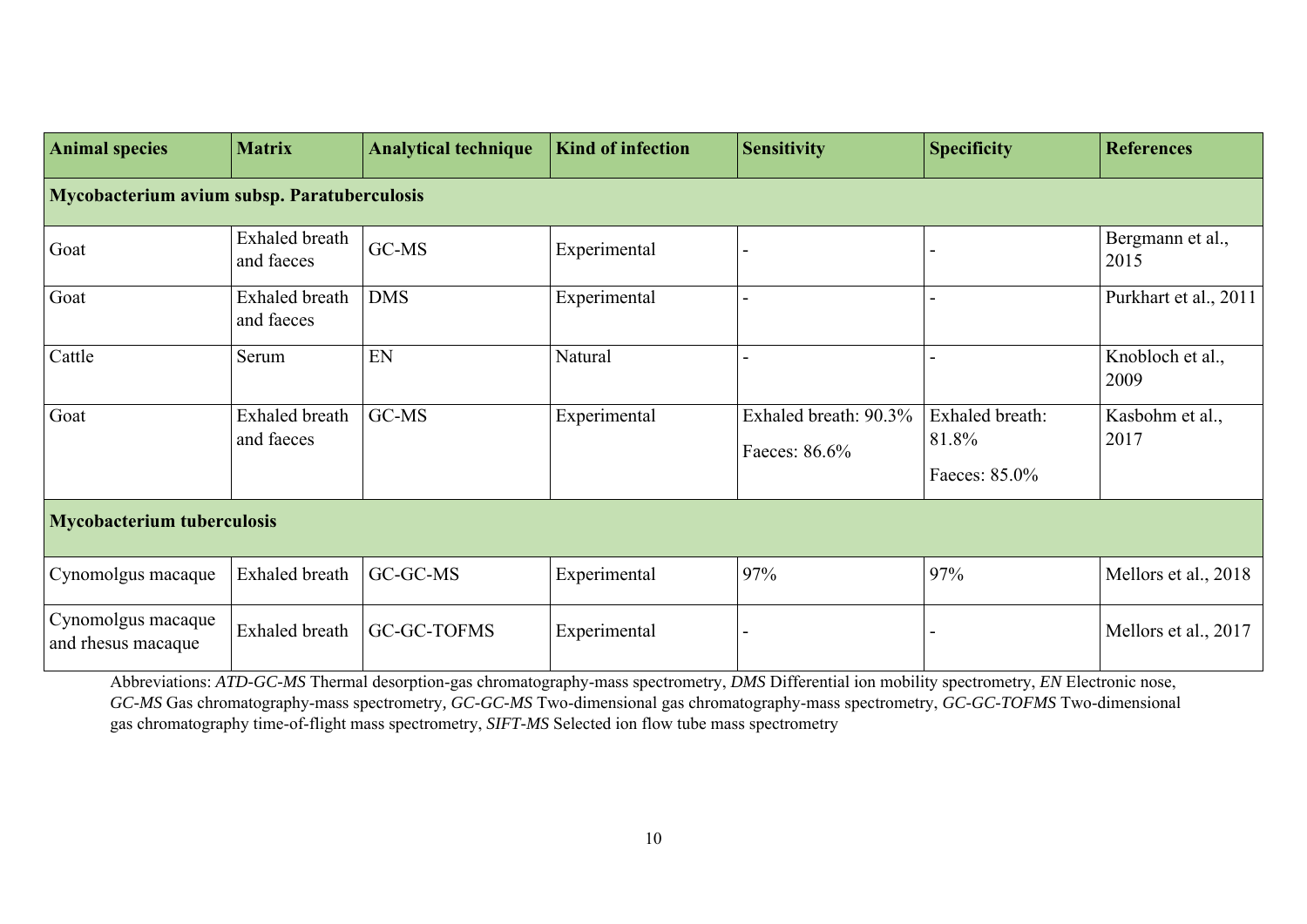| <b>Animal species</b>                       | <b>Matrix</b>                       | <b>Analytical technique</b> | <b>Kind of infection</b> | <b>Sensitivity</b>                     | <b>Specificity</b>                        | <b>References</b>        |  |  |  |
|---------------------------------------------|-------------------------------------|-----------------------------|--------------------------|----------------------------------------|-------------------------------------------|--------------------------|--|--|--|
| Mycobacterium avium subsp. Paratuberculosis |                                     |                             |                          |                                        |                                           |                          |  |  |  |
| Goat                                        | Exhaled breath<br>and faeces        | GC-MS                       | Experimental             |                                        |                                           | Bergmann et al.,<br>2015 |  |  |  |
| Goat                                        | <b>Exhaled</b> breath<br>and faeces | <b>DMS</b>                  | Experimental             |                                        |                                           | Purkhart et al., 2011    |  |  |  |
| Cattle                                      | Serum                               | EN                          | Natural                  |                                        |                                           | Knobloch et al.,<br>2009 |  |  |  |
| Goat                                        | <b>Exhaled</b> breath<br>and faeces | GC-MS                       | Experimental             | Exhaled breath: 90.3%<br>Faeces: 86.6% | Exhaled breath:<br>81.8%<br>Faeces: 85.0% | Kasbohm et al.,<br>2017  |  |  |  |
| <b>Mycobacterium tuberculosis</b>           |                                     |                             |                          |                                        |                                           |                          |  |  |  |
| Cynomolgus macaque                          | Exhaled breath                      | GC-GC-MS                    | Experimental             | 97%                                    | 97%                                       | Mellors et al., 2018     |  |  |  |
| Cynomolgus macaque<br>and rhesus macaque    | <b>Exhaled</b> breath               | GC-GC-TOFMS                 | Experimental             |                                        |                                           | Mellors et al., 2017     |  |  |  |

Abbreviations: *ATD-GC-MS* Thermal desorption-gas chromatography-mass spectrometry, *DMS* Differential ion mobility spectrometry, *EN* Electronic nose, *GC-MS* Gas chromatography-mass spectrometry*, GC-GC-MS* Two-dimensional gas chromatography-mass spectrometry, *GC-GC-TOFMS* Two-dimensional gas chromatography time-of-flight mass spectrometry, *SIFT-MS* Selected ion flow tube mass spectrometry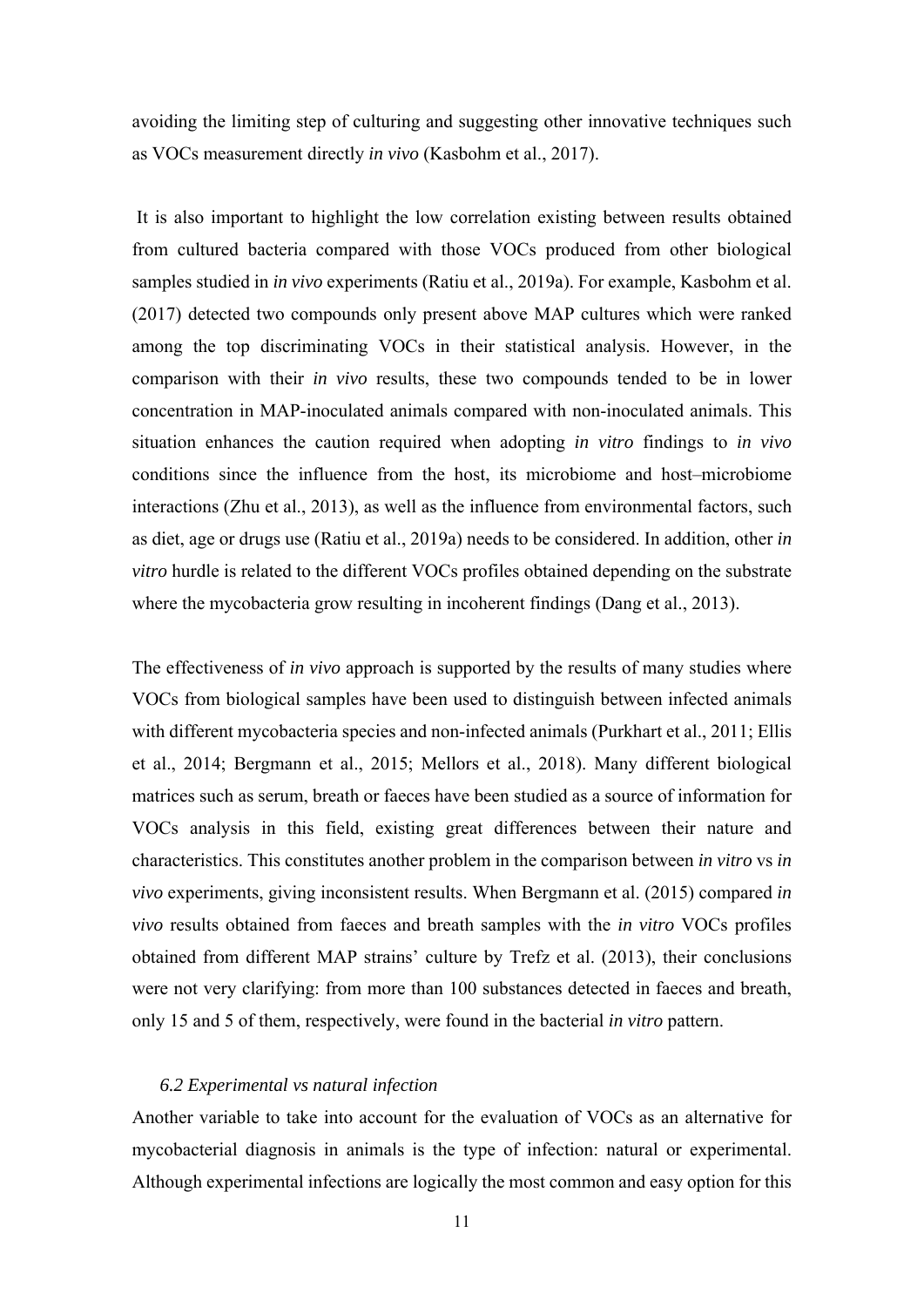avoiding the limiting step of culturing and suggesting other innovative techniques such as VOCs measurement directly *in vivo* (Kasbohm et al., 2017).

 It is also important to highlight the low correlation existing between results obtained from cultured bacteria compared with those VOCs produced from other biological samples studied in *in vivo* experiments (Ratiu et al., 2019a). For example, Kasbohm et al. (2017) detected two compounds only present above MAP cultures which were ranked among the top discriminating VOCs in their statistical analysis. However, in the comparison with their *in vivo* results, these two compounds tended to be in lower concentration in MAP-inoculated animals compared with non-inoculated animals. This situation enhances the caution required when adopting *in vitro* findings to *in vivo*  conditions since the influence from the host, its microbiome and host–microbiome interactions (Zhu et al., 2013), as well as the influence from environmental factors, such as diet, age or drugs use (Ratiu et al., 2019a) needs to be considered. In addition, other *in vitro* hurdle is related to the different VOCs profiles obtained depending on the substrate where the mycobacteria grow resulting in incoherent findings (Dang et al., 2013).

The effectiveness of *in vivo* approach is supported by the results of many studies where VOCs from biological samples have been used to distinguish between infected animals with different mycobacteria species and non-infected animals (Purkhart et al., 2011; Ellis et al., 2014; Bergmann et al., 2015; Mellors et al., 2018). Many different biological matrices such as serum, breath or faeces have been studied as a source of information for VOCs analysis in this field, existing great differences between their nature and characteristics. This constitutes another problem in the comparison between *in vitro* vs *in vivo* experiments, giving inconsistent results. When Bergmann et al. (2015) compared *in vivo* results obtained from faeces and breath samples with the *in vitro* VOCs profiles obtained from different MAP strains' culture by Trefz et al. (2013), their conclusions were not very clarifying: from more than 100 substances detected in faeces and breath, only 15 and 5 of them, respectively, were found in the bacterial *in vitro* pattern.

#### *6.2 Experimental vs natural infection*

Another variable to take into account for the evaluation of VOCs as an alternative for mycobacterial diagnosis in animals is the type of infection: natural or experimental. Although experimental infections are logically the most common and easy option for this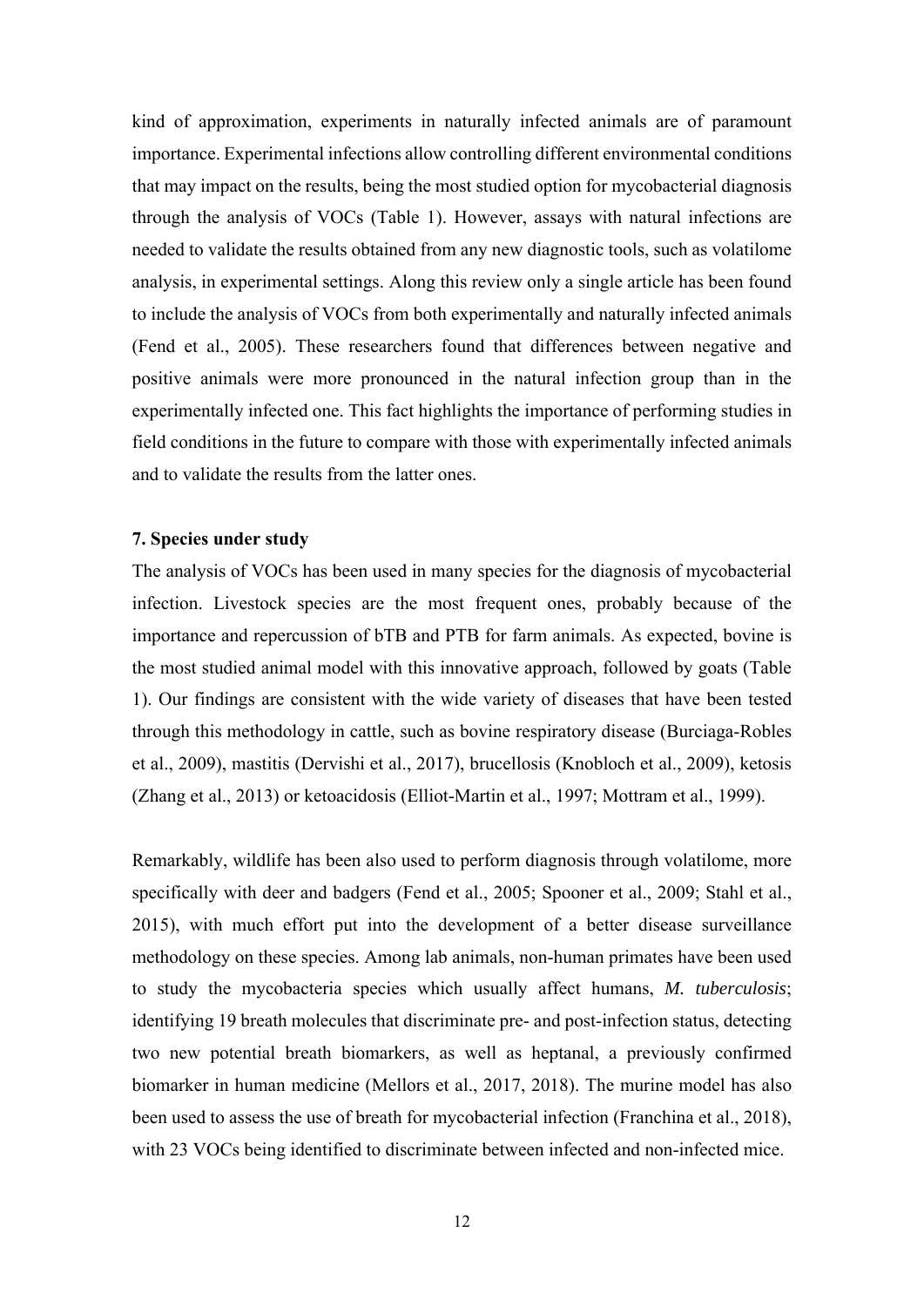kind of approximation, experiments in naturally infected animals are of paramount importance. Experimental infections allow controlling different environmental conditions that may impact on the results, being the most studied option for mycobacterial diagnosis through the analysis of VOCs (Table 1). However, assays with natural infections are needed to validate the results obtained from any new diagnostic tools, such as volatilome analysis, in experimental settings. Along this review only a single article has been found to include the analysis of VOCs from both experimentally and naturally infected animals (Fend et al., 2005). These researchers found that differences between negative and positive animals were more pronounced in the natural infection group than in the experimentally infected one. This fact highlights the importance of performing studies in field conditions in the future to compare with those with experimentally infected animals and to validate the results from the latter ones.

#### **7. Species under study**

The analysis of VOCs has been used in many species for the diagnosis of mycobacterial infection. Livestock species are the most frequent ones, probably because of the importance and repercussion of bTB and PTB for farm animals. As expected, bovine is the most studied animal model with this innovative approach, followed by goats (Table 1). Our findings are consistent with the wide variety of diseases that have been tested through this methodology in cattle, such as bovine respiratory disease (Burciaga-Robles et al., 2009), mastitis (Dervishi et al., 2017), brucellosis (Knobloch et al., 2009), ketosis (Zhang et al., 2013) or ketoacidosis (Elliot-Martin et al., 1997; Mottram et al., 1999).

Remarkably, wildlife has been also used to perform diagnosis through volatilome, more specifically with deer and badgers (Fend et al., 2005; Spooner et al., 2009; Stahl et al., 2015), with much effort put into the development of a better disease surveillance methodology on these species. Among lab animals, non-human primates have been used to study the mycobacteria species which usually affect humans, *M. tuberculosis*; identifying 19 breath molecules that discriminate pre- and post-infection status, detecting two new potential breath biomarkers, as well as heptanal, a previously confirmed biomarker in human medicine (Mellors et al., 2017, 2018). The murine model has also been used to assess the use of breath for mycobacterial infection (Franchina et al., 2018), with 23 VOCs being identified to discriminate between infected and non-infected mice.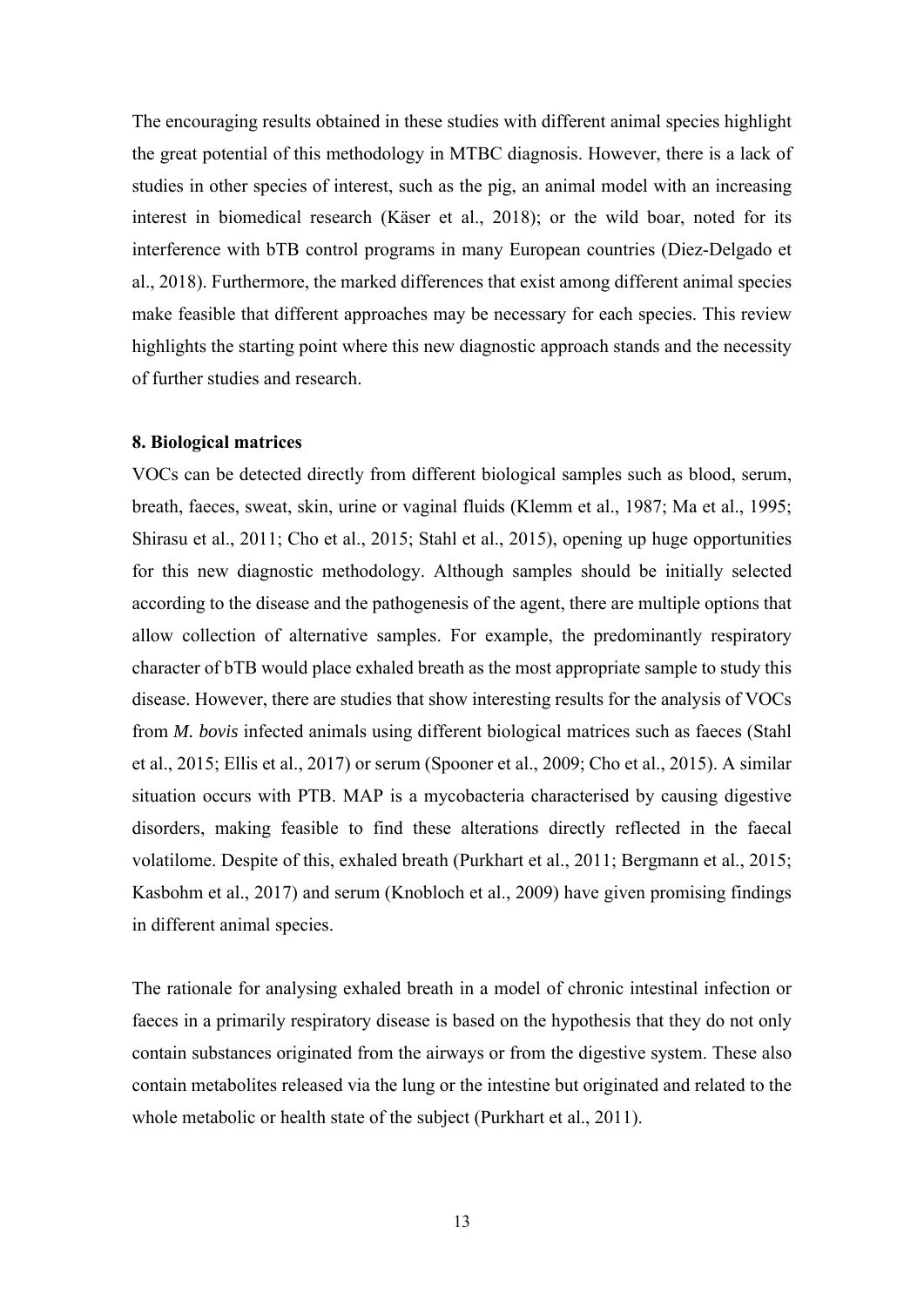The encouraging results obtained in these studies with different animal species highlight the great potential of this methodology in MTBC diagnosis. However, there is a lack of studies in other species of interest, such as the pig, an animal model with an increasing interest in biomedical research (Käser et al., 2018); or the wild boar, noted for its interference with bTB control programs in many European countries (Diez-Delgado et al., 2018). Furthermore, the marked differences that exist among different animal species make feasible that different approaches may be necessary for each species. This review highlights the starting point where this new diagnostic approach stands and the necessity of further studies and research.

#### **8. Biological matrices**

VOCs can be detected directly from different biological samples such as blood, serum, breath, faeces, sweat, skin, urine or vaginal fluids (Klemm et al., 1987; Ma et al., 1995; Shirasu et al., 2011; Cho et al., 2015; Stahl et al., 2015), opening up huge opportunities for this new diagnostic methodology. Although samples should be initially selected according to the disease and the pathogenesis of the agent, there are multiple options that allow collection of alternative samples. For example, the predominantly respiratory character of bTB would place exhaled breath as the most appropriate sample to study this disease. However, there are studies that show interesting results for the analysis of VOCs from *M. bovis* infected animals using different biological matrices such as faeces (Stahl et al., 2015; Ellis et al., 2017) or serum (Spooner et al., 2009; Cho et al., 2015). A similar situation occurs with PTB. MAP is a mycobacteria characterised by causing digestive disorders, making feasible to find these alterations directly reflected in the faecal volatilome. Despite of this, exhaled breath (Purkhart et al., 2011; Bergmann et al., 2015; Kasbohm et al., 2017) and serum (Knobloch et al., 2009) have given promising findings in different animal species.

The rationale for analysing exhaled breath in a model of chronic intestinal infection or faeces in a primarily respiratory disease is based on the hypothesis that they do not only contain substances originated from the airways or from the digestive system. These also contain metabolites released via the lung or the intestine but originated and related to the whole metabolic or health state of the subject (Purkhart et al., 2011).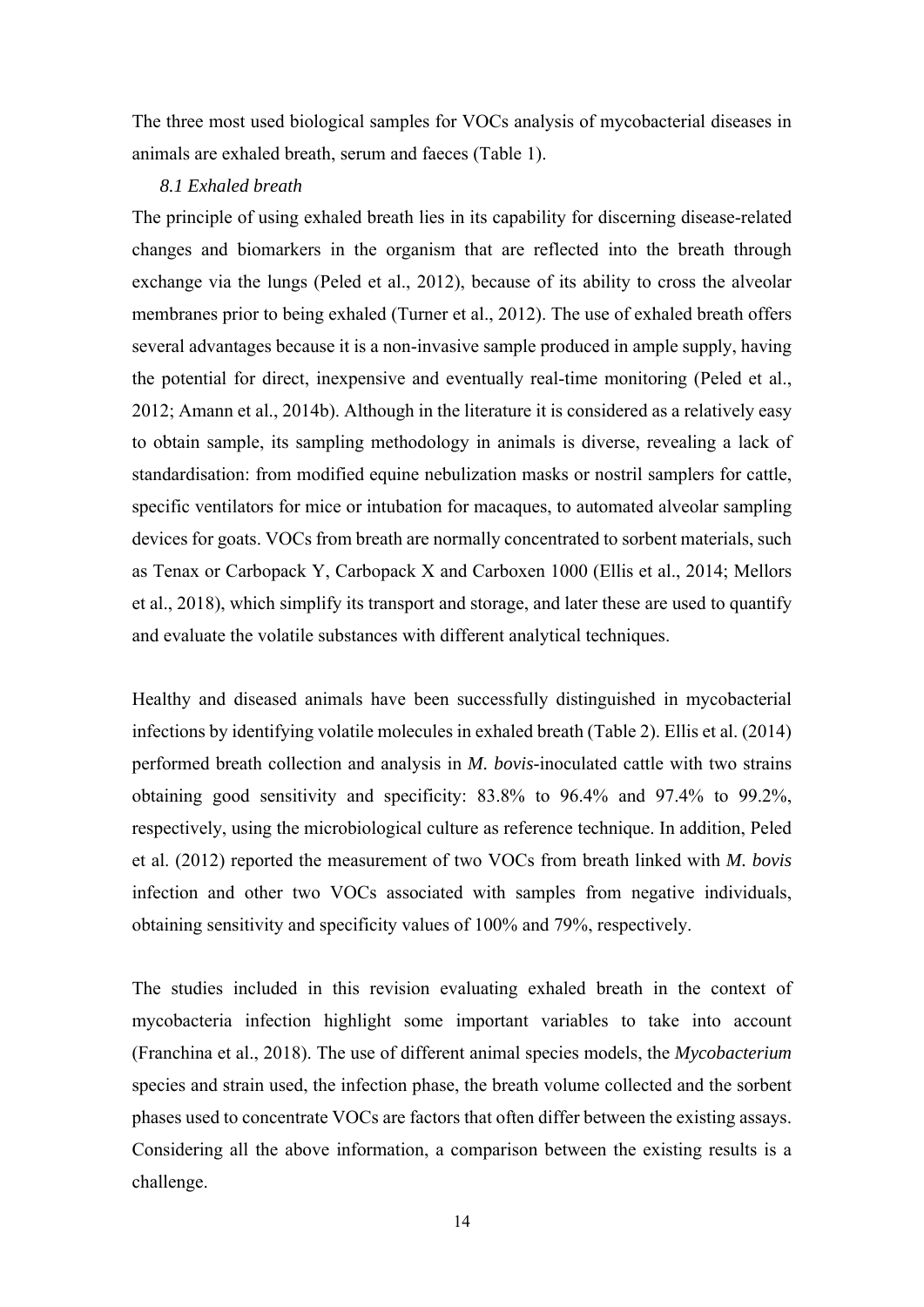The three most used biological samples for VOCs analysis of mycobacterial diseases in animals are exhaled breath, serum and faeces (Table 1).

#### *8.1 Exhaled breath*

The principle of using exhaled breath lies in its capability for discerning disease-related changes and biomarkers in the organism that are reflected into the breath through exchange via the lungs (Peled et al., 2012), because of its ability to cross the alveolar membranes prior to being exhaled (Turner et al., 2012). The use of exhaled breath offers several advantages because it is a non-invasive sample produced in ample supply, having the potential for direct, inexpensive and eventually real-time monitoring (Peled et al., 2012; Amann et al., 2014b). Although in the literature it is considered as a relatively easy to obtain sample, its sampling methodology in animals is diverse, revealing a lack of standardisation: from modified equine nebulization masks or nostril samplers for cattle, specific ventilators for mice or intubation for macaques, to automated alveolar sampling devices for goats. VOCs from breath are normally concentrated to sorbent materials, such as Tenax or Carbopack Y, Carbopack X and Carboxen 1000 (Ellis et al., 2014; Mellors et al., 2018), which simplify its transport and storage, and later these are used to quantify and evaluate the volatile substances with different analytical techniques.

Healthy and diseased animals have been successfully distinguished in mycobacterial infections by identifying volatile molecules in exhaled breath (Table 2). Ellis et al. (2014) performed breath collection and analysis in *M. bovis*-inoculated cattle with two strains obtaining good sensitivity and specificity: 83.8% to 96.4% and 97.4% to 99.2%, respectively, using the microbiological culture as reference technique. In addition, Peled et al. (2012) reported the measurement of two VOCs from breath linked with *M. bovis* infection and other two VOCs associated with samples from negative individuals, obtaining sensitivity and specificity values of 100% and 79%, respectively.

The studies included in this revision evaluating exhaled breath in the context of mycobacteria infection highlight some important variables to take into account (Franchina et al., 2018). The use of different animal species models, the *Mycobacterium* species and strain used, the infection phase, the breath volume collected and the sorbent phases used to concentrate VOCs are factors that often differ between the existing assays. Considering all the above information, a comparison between the existing results is a challenge.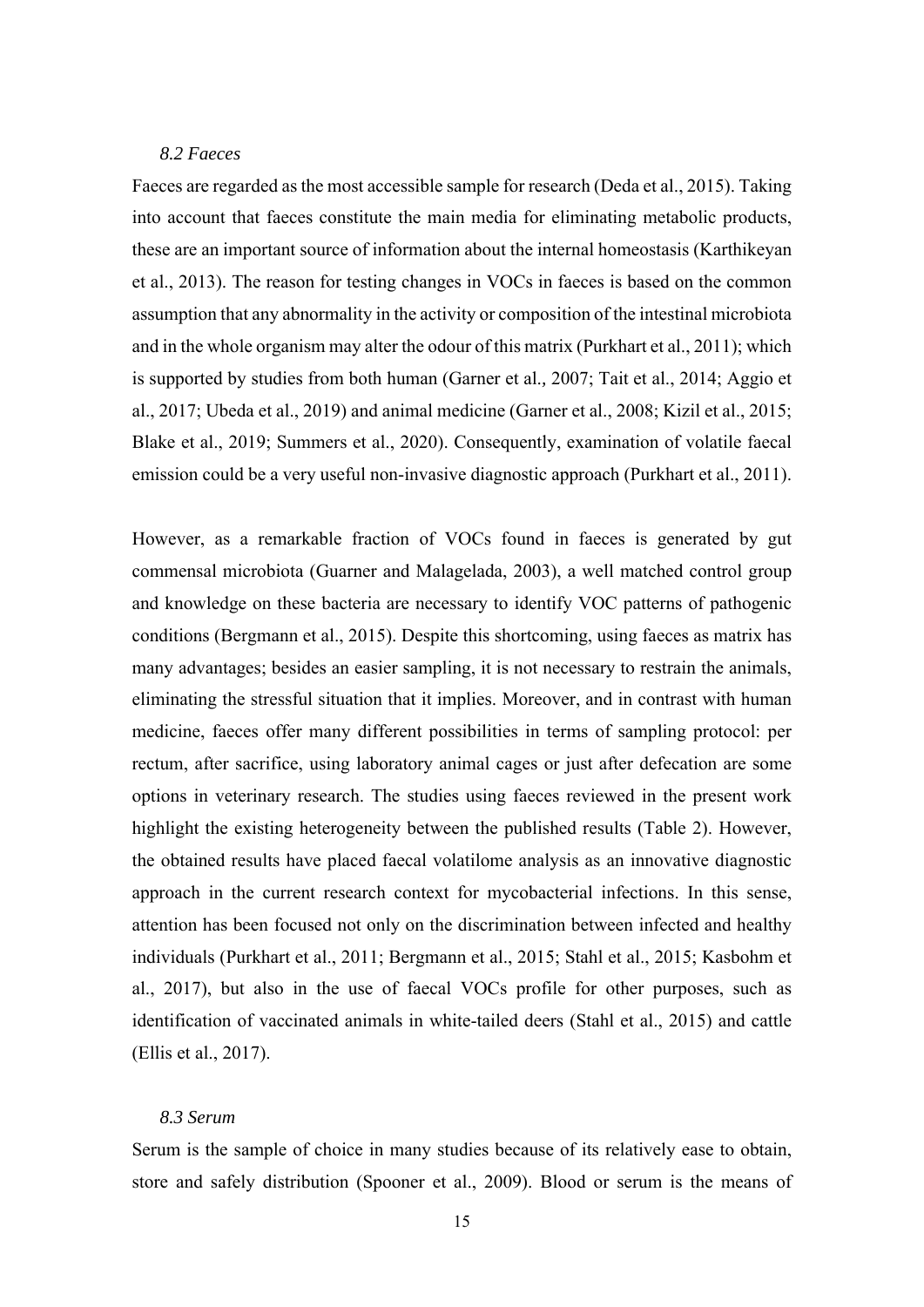#### *8.2 Faeces*

Faeces are regarded as the most accessible sample for research (Deda et al., 2015). Taking into account that faeces constitute the main media for eliminating metabolic products, these are an important source of information about the internal homeostasis (Karthikeyan et al., 2013). The reason for testing changes in VOCs in faeces is based on the common assumption that any abnormality in the activity or composition of the intestinal microbiota and in the whole organism may alter the odour of this matrix (Purkhart et al., 2011); which is supported by studies from both human (Garner et al.*,* 2007; Tait et al., 2014; Aggio et al., 2017; Ubeda et al., 2019) and animal medicine (Garner et al., 2008; Kizil et al., 2015; Blake et al., 2019; Summers et al., 2020). Consequently, examination of volatile faecal emission could be a very useful non-invasive diagnostic approach (Purkhart et al., 2011).

However, as a remarkable fraction of VOCs found in faeces is generated by gut commensal microbiota (Guarner and Malagelada, 2003), a well matched control group and knowledge on these bacteria are necessary to identify VOC patterns of pathogenic conditions (Bergmann et al., 2015). Despite this shortcoming, using faeces as matrix has many advantages; besides an easier sampling, it is not necessary to restrain the animals, eliminating the stressful situation that it implies. Moreover, and in contrast with human medicine, faeces offer many different possibilities in terms of sampling protocol: per rectum, after sacrifice, using laboratory animal cages or just after defecation are some options in veterinary research. The studies using faeces reviewed in the present work highlight the existing heterogeneity between the published results (Table 2). However, the obtained results have placed faecal volatilome analysis as an innovative diagnostic approach in the current research context for mycobacterial infections. In this sense, attention has been focused not only on the discrimination between infected and healthy individuals (Purkhart et al., 2011; Bergmann et al., 2015; Stahl et al., 2015; Kasbohm et al., 2017), but also in the use of faecal VOCs profile for other purposes, such as identification of vaccinated animals in white-tailed deers (Stahl et al., 2015) and cattle (Ellis et al., 2017).

#### *8.3 Serum*

Serum is the sample of choice in many studies because of its relatively ease to obtain, store and safely distribution (Spooner et al., 2009). Blood or serum is the means of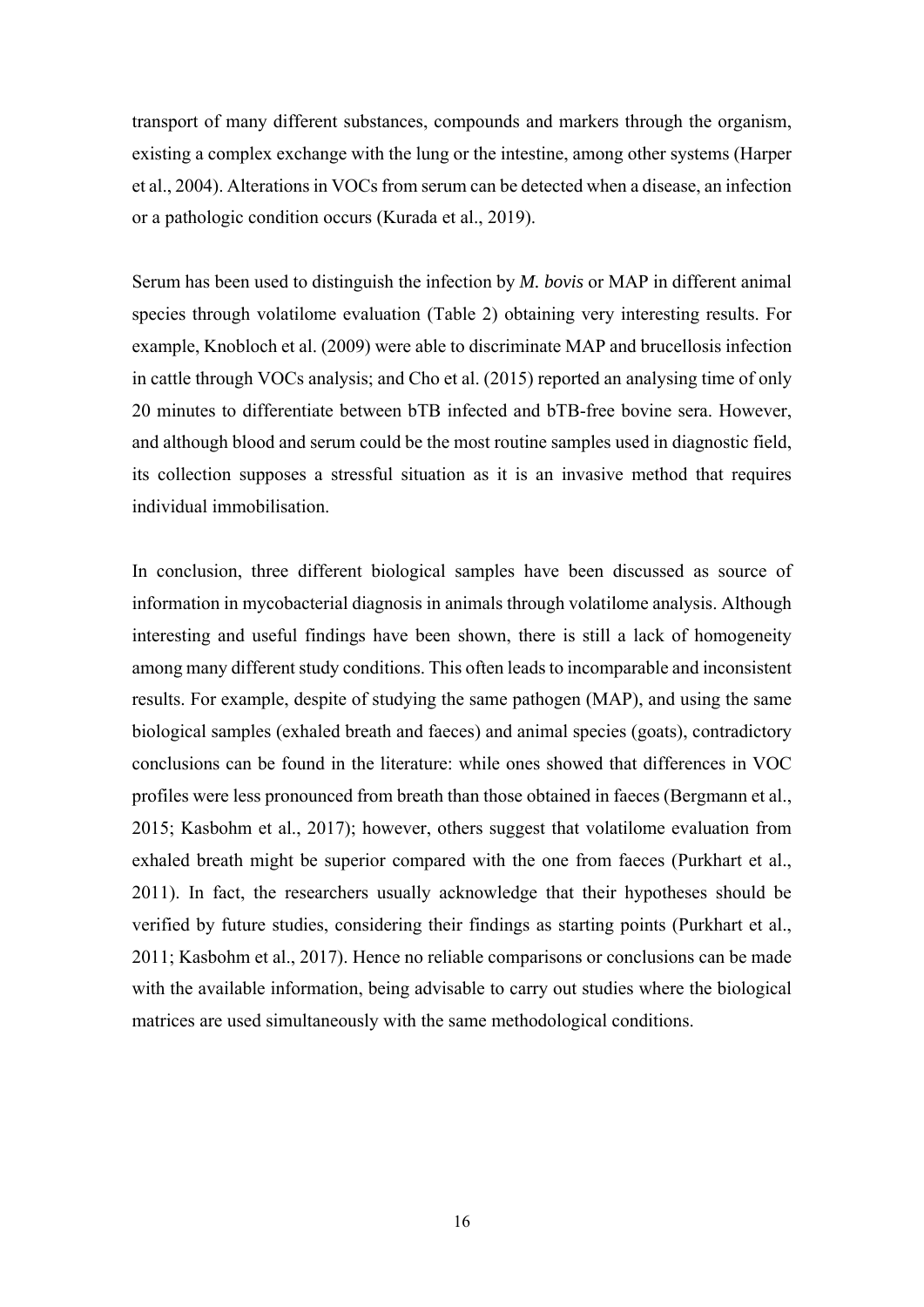transport of many different substances, compounds and markers through the organism, existing a complex exchange with the lung or the intestine, among other systems (Harper et al., 2004). Alterations in VOCs from serum can be detected when a disease, an infection or a pathologic condition occurs (Kurada et al., 2019).

Serum has been used to distinguish the infection by *M. bovis* or MAP in different animal species through volatilome evaluation (Table 2) obtaining very interesting results. For example, Knobloch et al. (2009) were able to discriminate MAP and brucellosis infection in cattle through VOCs analysis; and Cho et al. (2015) reported an analysing time of only 20 minutes to differentiate between bTB infected and bTB-free bovine sera. However, and although blood and serum could be the most routine samples used in diagnostic field, its collection supposes a stressful situation as it is an invasive method that requires individual immobilisation.

In conclusion, three different biological samples have been discussed as source of information in mycobacterial diagnosis in animals through volatilome analysis. Although interesting and useful findings have been shown, there is still a lack of homogeneity among many different study conditions. This often leads to incomparable and inconsistent results. For example, despite of studying the same pathogen (MAP), and using the same biological samples (exhaled breath and faeces) and animal species (goats), contradictory conclusions can be found in the literature: while ones showed that differences in VOC profiles were less pronounced from breath than those obtained in faeces (Bergmann et al., 2015; Kasbohm et al., 2017); however, others suggest that volatilome evaluation from exhaled breath might be superior compared with the one from faeces (Purkhart et al., 2011). In fact, the researchers usually acknowledge that their hypotheses should be verified by future studies, considering their findings as starting points (Purkhart et al., 2011; Kasbohm et al., 2017). Hence no reliable comparisons or conclusions can be made with the available information, being advisable to carry out studies where the biological matrices are used simultaneously with the same methodological conditions.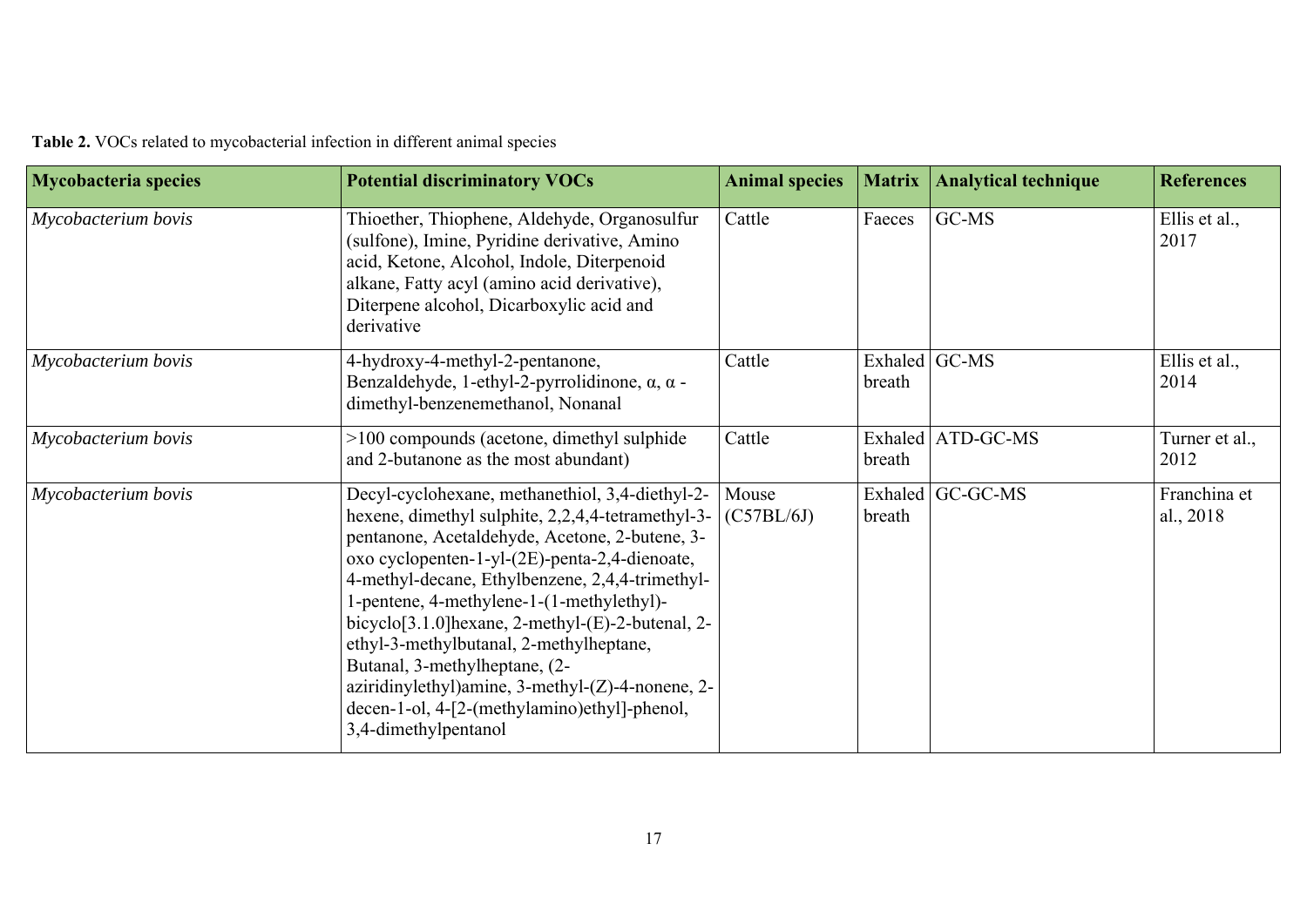|  |  | <b>Table 2.</b> VOCs related to mycobacterial infection in different animal species |  |  |  |
|--|--|-------------------------------------------------------------------------------------|--|--|--|
|  |  |                                                                                     |  |  |  |

| <b>Mycobacteria species</b> | <b>Potential discriminatory VOCs</b>                                                                                                                                                                                                                                                                                                                                                                                                                                                                                                                                             | <b>Animal species</b> | <b>Matrix</b>           | <b>Analytical technique</b> | <b>References</b>         |
|-----------------------------|----------------------------------------------------------------------------------------------------------------------------------------------------------------------------------------------------------------------------------------------------------------------------------------------------------------------------------------------------------------------------------------------------------------------------------------------------------------------------------------------------------------------------------------------------------------------------------|-----------------------|-------------------------|-----------------------------|---------------------------|
| Mycobacterium bovis         | Thioether, Thiophene, Aldehyde, Organosulfur<br>(sulfone), Imine, Pyridine derivative, Amino<br>acid, Ketone, Alcohol, Indole, Diterpenoid<br>alkane, Fatty acyl (amino acid derivative),<br>Diterpene alcohol, Dicarboxylic acid and<br>derivative                                                                                                                                                                                                                                                                                                                              | Cattle                | Faeces                  | GC-MS                       | Ellis et al.,<br>2017     |
| Mycobacterium bovis         | 4-hydroxy-4-methyl-2-pentanone,<br>Benzaldehyde, 1-ethyl-2-pyrrolidinone, α, α -<br>dimethyl-benzenemethanol, Nonanal                                                                                                                                                                                                                                                                                                                                                                                                                                                            | Cattle                | Exhaled GC-MS<br>breath |                             | Ellis et al.,<br>2014     |
| Mycobacterium bovis         | $>100$ compounds (acetone, dimethyl sulphide<br>and 2-butanone as the most abundant)                                                                                                                                                                                                                                                                                                                                                                                                                                                                                             | Cattle                | breath                  | Exhaled ATD-GC-MS           | Turner et al.,<br>2012    |
| Mycobacterium bovis         | Decyl-cyclohexane, methanethiol, 3,4-diethyl-2-<br>hexene, dimethyl sulphite, 2,2,4,4-tetramethyl-3-<br>pentanone, Acetaldehyde, Acetone, 2-butene, 3-<br>oxo cyclopenten-1-yl-(2E)-penta-2,4-dienoate,<br>4-methyl-decane, Ethylbenzene, 2,4,4-trimethyl-<br>1-pentene, 4-methylene-1-(1-methylethyl)-<br>bicyclo <sup>[3.1.0]</sup> hexane, 2-methyl-(E)-2-butenal, 2-<br>ethyl-3-methylbutanal, 2-methylheptane,<br>Butanal, 3-methylheptane, (2-<br>aziridinylethyl)amine, 3-methyl-(Z)-4-nonene, 2-<br>decen-1-ol, 4-[2-(methylamino)ethyl]-phenol,<br>3,4-dimethylpentanol | Mouse<br>(C57BL/6J)   | breath                  | Exhaled GC-GC-MS            | Franchina et<br>al., 2018 |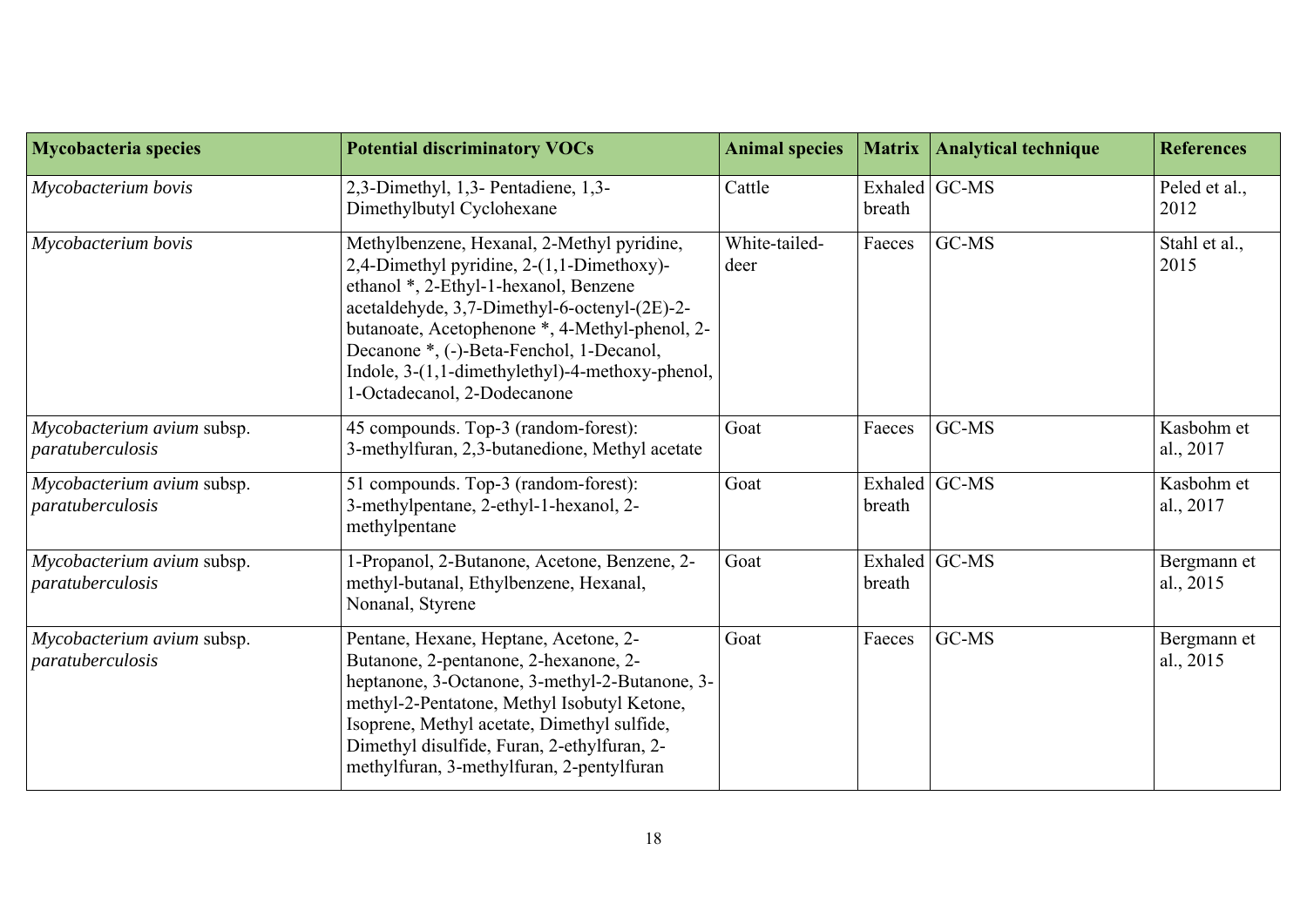| <b>Mycobacteria species</b>                    | <b>Potential discriminatory VOCs</b>                                                                                                                                                                                                                                                                                                                             | <b>Animal species</b> | <b>Matrix</b>           | <b>Analytical technique</b> | <b>References</b>        |
|------------------------------------------------|------------------------------------------------------------------------------------------------------------------------------------------------------------------------------------------------------------------------------------------------------------------------------------------------------------------------------------------------------------------|-----------------------|-------------------------|-----------------------------|--------------------------|
| Mycobacterium bovis                            | 2,3-Dimethyl, 1,3- Pentadiene, 1,3-<br>Dimethylbutyl Cyclohexane                                                                                                                                                                                                                                                                                                 | Cattle                | Exhaled GC-MS<br>breath |                             | Peled et al.,<br>2012    |
| Mycobacterium bovis                            | Methylbenzene, Hexanal, 2-Methyl pyridine,<br>2,4-Dimethyl pyridine, 2-(1,1-Dimethoxy)-<br>ethanol *, 2-Ethyl-1-hexanol, Benzene<br>acetaldehyde, 3,7-Dimethyl-6-octenyl-(2E)-2-<br>butanoate, Acetophenone *, 4-Methyl-phenol, 2-<br>Decanone *, (-)-Beta-Fenchol, 1-Decanol,<br>Indole, 3-(1,1-dimethylethyl)-4-methoxy-phenol,<br>1-Octadecanol, 2-Dodecanone | White-tailed-<br>deer | Faeces                  | GC-MS                       | Stahl et al.,<br>2015    |
| Mycobacterium avium subsp.<br>paratuberculosis | 45 compounds. Top-3 (random-forest):<br>3-methylfuran, 2,3-butanedione, Methyl acetate                                                                                                                                                                                                                                                                           | Goat                  | Faeces                  | GC-MS                       | Kasbohm et<br>al., 2017  |
| Mycobacterium avium subsp.<br>paratuberculosis | 51 compounds. Top-3 (random-forest):<br>3-methylpentane, 2-ethyl-1-hexanol, 2-<br>methylpentane                                                                                                                                                                                                                                                                  | Goat                  | Exhaled GC-MS<br>breath |                             | Kasbohm et<br>al., 2017  |
| Mycobacterium avium subsp.<br>paratuberculosis | 1-Propanol, 2-Butanone, Acetone, Benzene, 2-<br>methyl-butanal, Ethylbenzene, Hexanal,<br>Nonanal, Styrene                                                                                                                                                                                                                                                       | Goat                  | Exhaled GC-MS<br>breath |                             | Bergmann et<br>al., 2015 |
| Mycobacterium avium subsp.<br>paratuberculosis | Pentane, Hexane, Heptane, Acetone, 2-<br>Butanone, 2-pentanone, 2-hexanone, 2-<br>heptanone, 3-Octanone, 3-methyl-2-Butanone, 3-<br>methyl-2-Pentatone, Methyl Isobutyl Ketone,<br>Isoprene, Methyl acetate, Dimethyl sulfide,<br>Dimethyl disulfide, Furan, 2-ethylfuran, 2-<br>methylfuran, 3-methylfuran, 2-pentylfuran                                       | Goat                  | Faeces                  | GC-MS                       | Bergmann et<br>al., 2015 |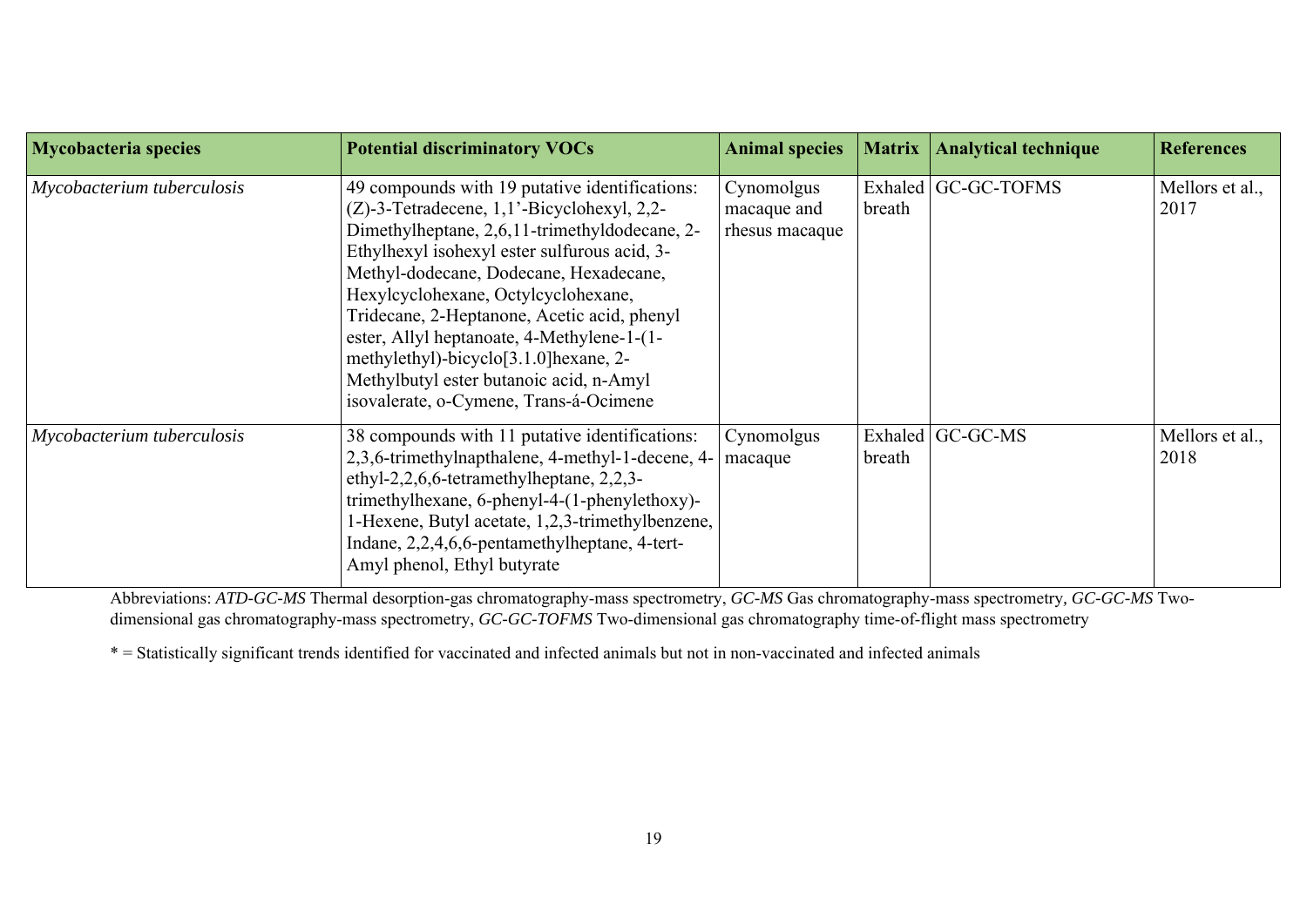| <b>Mycobacteria species</b> | <b>Potential discriminatory VOCs</b>                                                                                                                                                                                                                                                                                                                                                                                                                                                                                      | <b>Animal species</b>                       | Matrix | <b>Analytical technique</b> | <b>References</b>       |
|-----------------------------|---------------------------------------------------------------------------------------------------------------------------------------------------------------------------------------------------------------------------------------------------------------------------------------------------------------------------------------------------------------------------------------------------------------------------------------------------------------------------------------------------------------------------|---------------------------------------------|--------|-----------------------------|-------------------------|
| Mycobacterium tuberculosis  | 49 compounds with 19 putative identifications:<br>$(Z)$ -3-Tetradecene, 1,1'-Bicyclohexyl, 2,2-<br>Dimethylheptane, 2,6,11-trimethyldodecane, 2-<br>Ethylhexyl isohexyl ester sulfurous acid, 3-<br>Methyl-dodecane, Dodecane, Hexadecane,<br>Hexylcyclohexane, Octylcyclohexane,<br>Tridecane, 2-Heptanone, Acetic acid, phenyl<br>ester, Allyl heptanoate, 4-Methylene-1-(1-<br>methylethyl)-bicyclo <sup>[3.1.0]</sup> hexane, 2-<br>Methylbutyl ester butanoic acid, n-Amyl<br>isovalerate, o-Cymene, Trans-á-Ocimene | Cynomolgus<br>macaque and<br>rhesus macaque | breath | Exhaled GC-GC-TOFMS         | Mellors et al.,<br>2017 |
| Mycobacterium tuberculosis  | 38 compounds with 11 putative identifications:<br>2,3,6-trimethylnapthalene, 4-methyl-1-decene, 4-<br>ethyl-2,2,6,6-tetramethylheptane, 2,2,3-<br>trimethylhexane, 6-phenyl-4-(1-phenylethoxy)-<br>1-Hexene, Butyl acetate, 1,2,3-trimethylbenzene,<br>Indane, 2,2,4,6,6-pentamethylheptane, 4-tert-<br>Amyl phenol, Ethyl butyrate                                                                                                                                                                                       | Cynomolgus<br>macaque                       | breath | Exhaled GC-GC-MS            | Mellors et al.,<br>2018 |

Abbreviations: *ATD-GC-MS* Thermal desorption-gas chromatography-mass spectrometry, *GC-MS* Gas chromatography-mass spectrometry*, GC-GC-MS* Twodimensional gas chromatography-mass spectrometry, *GC-GC-TOFMS* Two-dimensional gas chromatography time-of-flight mass spectrometry

\* = Statistically significant trends identified for vaccinated and infected animals but not in non-vaccinated and infected animals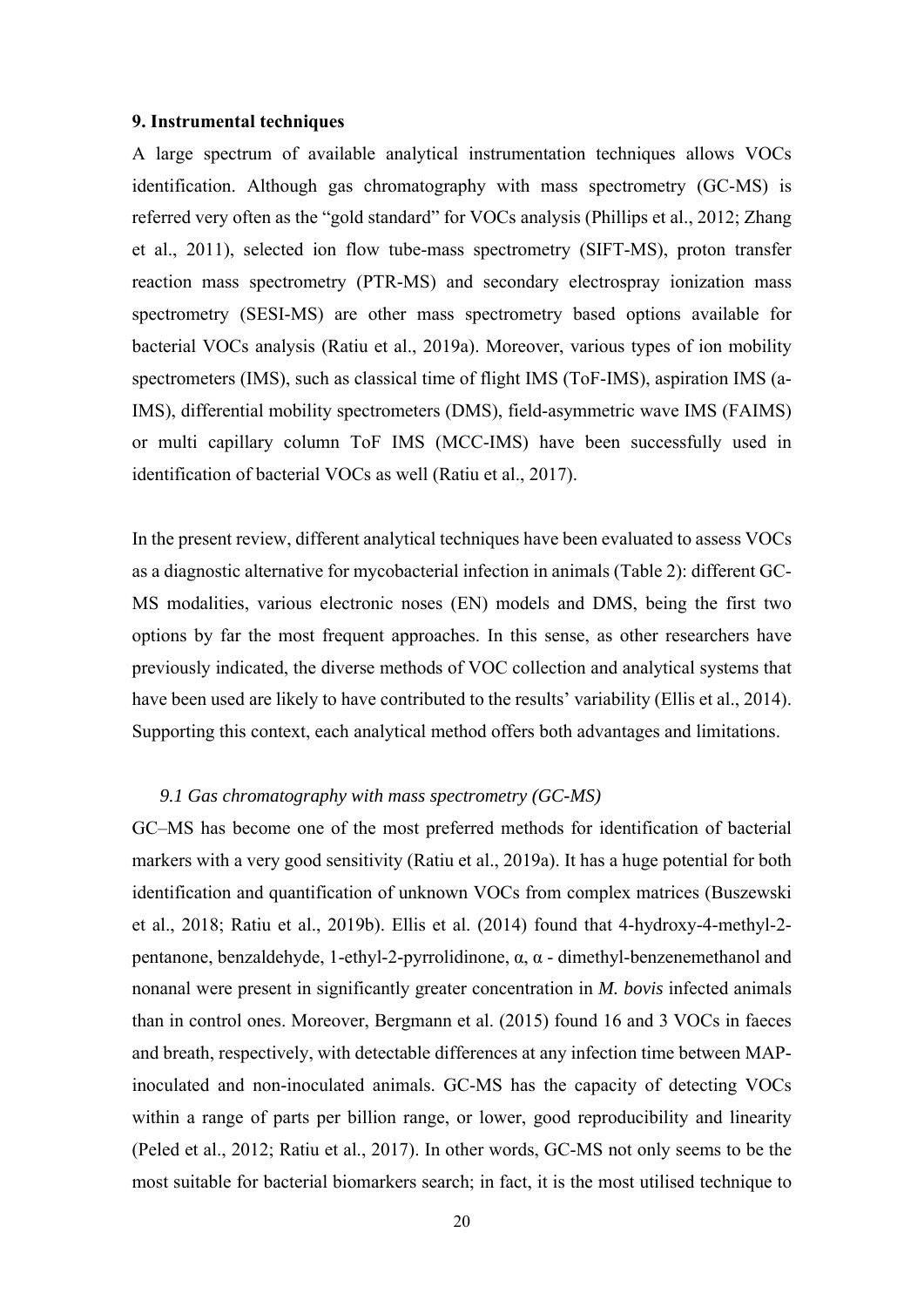#### **9. Instrumental techniques**

A large spectrum of available analytical instrumentation techniques allows VOCs identification. Although gas chromatography with mass spectrometry (GC-MS) is referred very often as the "gold standard" for VOCs analysis (Phillips et al., 2012; Zhang et al., 2011), selected ion flow tube-mass spectrometry (SIFT-MS), proton transfer reaction mass spectrometry (PTR-MS) and secondary electrospray ionization mass spectrometry (SESI-MS) are other mass spectrometry based options available for bacterial VOCs analysis (Ratiu et al., 2019a). Moreover, various types of ion mobility spectrometers (IMS), such as classical time of flight IMS (ToF-IMS), aspiration IMS (a-IMS), differential mobility spectrometers (DMS), field-asymmetric wave IMS (FAIMS) or multi capillary column ToF IMS (MCC-IMS) have been successfully used in identification of bacterial VOCs as well (Ratiu et al., 2017).

In the present review, different analytical techniques have been evaluated to assess VOCs as a diagnostic alternative for mycobacterial infection in animals (Table 2): different GC-MS modalities, various electronic noses (EN) models and DMS, being the first two options by far the most frequent approaches. In this sense, as other researchers have previously indicated, the diverse methods of VOC collection and analytical systems that have been used are likely to have contributed to the results' variability (Ellis et al., 2014). Supporting this context, each analytical method offers both advantages and limitations.

#### *9.1 Gas chromatography with mass spectrometry (GC-MS)*

GC–MS has become one of the most preferred methods for identification of bacterial markers with a very good sensitivity (Ratiu et al., 2019a). It has a huge potential for both identification and quantification of unknown VOCs from complex matrices (Buszewski et al., 2018; Ratiu et al., 2019b). Ellis et al. (2014) found that 4-hydroxy-4-methyl-2 pentanone, benzaldehyde, 1-ethyl-2-pyrrolidinone, α, α - dimethyl-benzenemethanol and nonanal were present in significantly greater concentration in *M. bovis* infected animals than in control ones. Moreover, Bergmann et al. (2015) found 16 and 3 VOCs in faeces and breath, respectively, with detectable differences at any infection time between MAPinoculated and non-inoculated animals. GC-MS has the capacity of detecting VOCs within a range of parts per billion range, or lower, good reproducibility and linearity (Peled et al., 2012; Ratiu et al., 2017). In other words, GC-MS not only seems to be the most suitable for bacterial biomarkers search; in fact, it is the most utilised technique to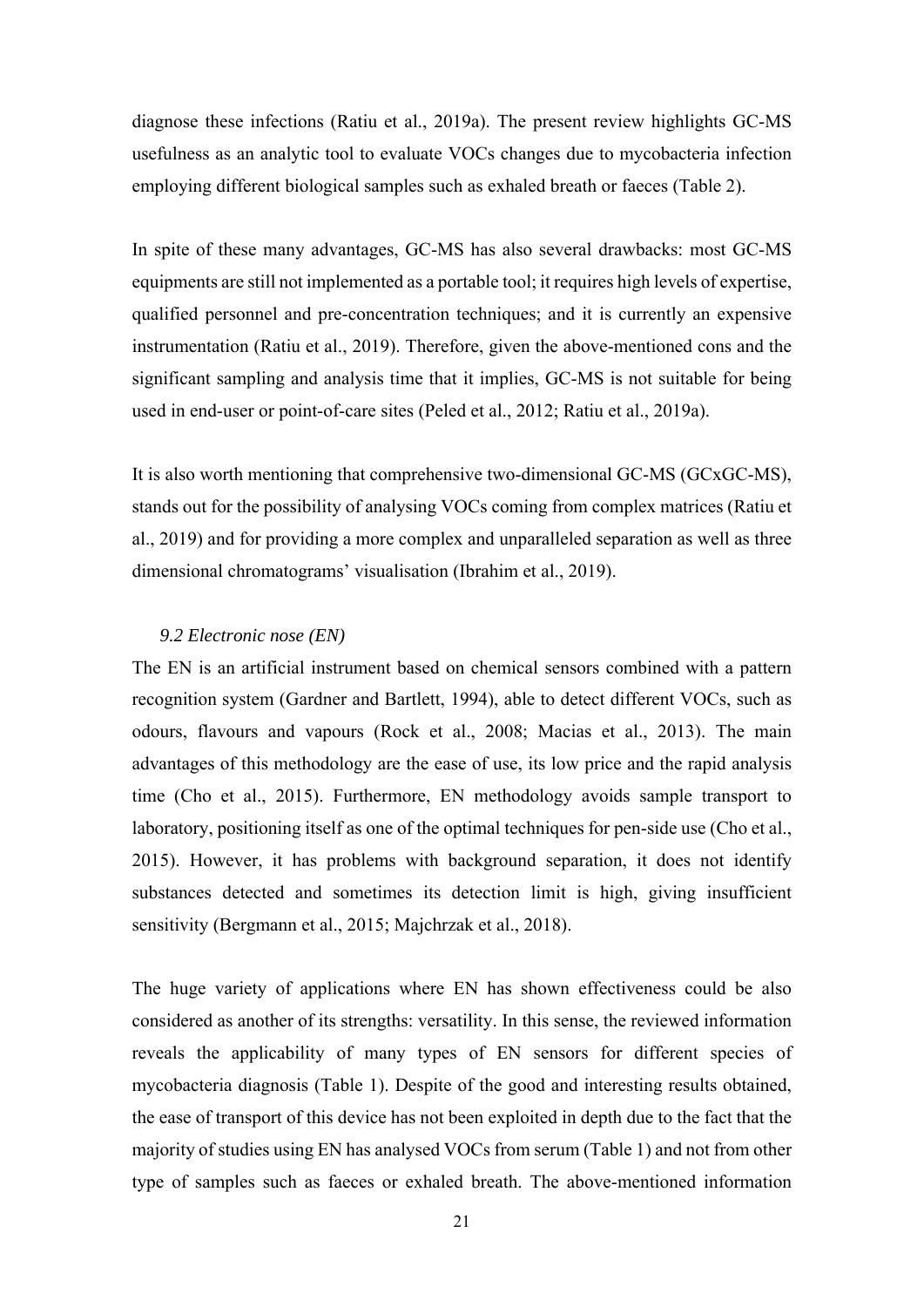diagnose these infections (Ratiu et al., 2019a). The present review highlights GC-MS usefulness as an analytic tool to evaluate VOCs changes due to mycobacteria infection employing different biological samples such as exhaled breath or faeces (Table 2).

In spite of these many advantages, GC-MS has also several drawbacks: most GC-MS equipments are still not implemented as a portable tool; it requires high levels of expertise, qualified personnel and pre-concentration techniques; and it is currently an expensive instrumentation (Ratiu et al., 2019). Therefore, given the above-mentioned cons and the significant sampling and analysis time that it implies, GC-MS is not suitable for being used in end-user or point-of-care sites (Peled et al., 2012; Ratiu et al., 2019a).

It is also worth mentioning that comprehensive two-dimensional GC-MS (GCxGC-MS), stands out for the possibility of analysing VOCs coming from complex matrices (Ratiu et al., 2019) and for providing a more complex and unparalleled separation as well as three dimensional chromatograms' visualisation (Ibrahim et al., 2019).

#### *9.2 Electronic nose (EN)*

The EN is an artificial instrument based on chemical sensors combined with a pattern recognition system (Gardner and Bartlett, 1994), able to detect different VOCs, such as odours, flavours and vapours (Rock et al., 2008; Macias et al., 2013). The main advantages of this methodology are the ease of use, its low price and the rapid analysis time (Cho et al., 2015). Furthermore, EN methodology avoids sample transport to laboratory, positioning itself as one of the optimal techniques for pen-side use (Cho et al., 2015). However, it has problems with background separation, it does not identify substances detected and sometimes its detection limit is high, giving insufficient sensitivity (Bergmann et al., 2015; Majchrzak et al., 2018).

The huge variety of applications where EN has shown effectiveness could be also considered as another of its strengths: versatility. In this sense, the reviewed information reveals the applicability of many types of EN sensors for different species of mycobacteria diagnosis (Table 1). Despite of the good and interesting results obtained, the ease of transport of this device has not been exploited in depth due to the fact that the majority of studies using EN has analysed VOCs from serum (Table 1) and not from other type of samples such as faeces or exhaled breath. The above-mentioned information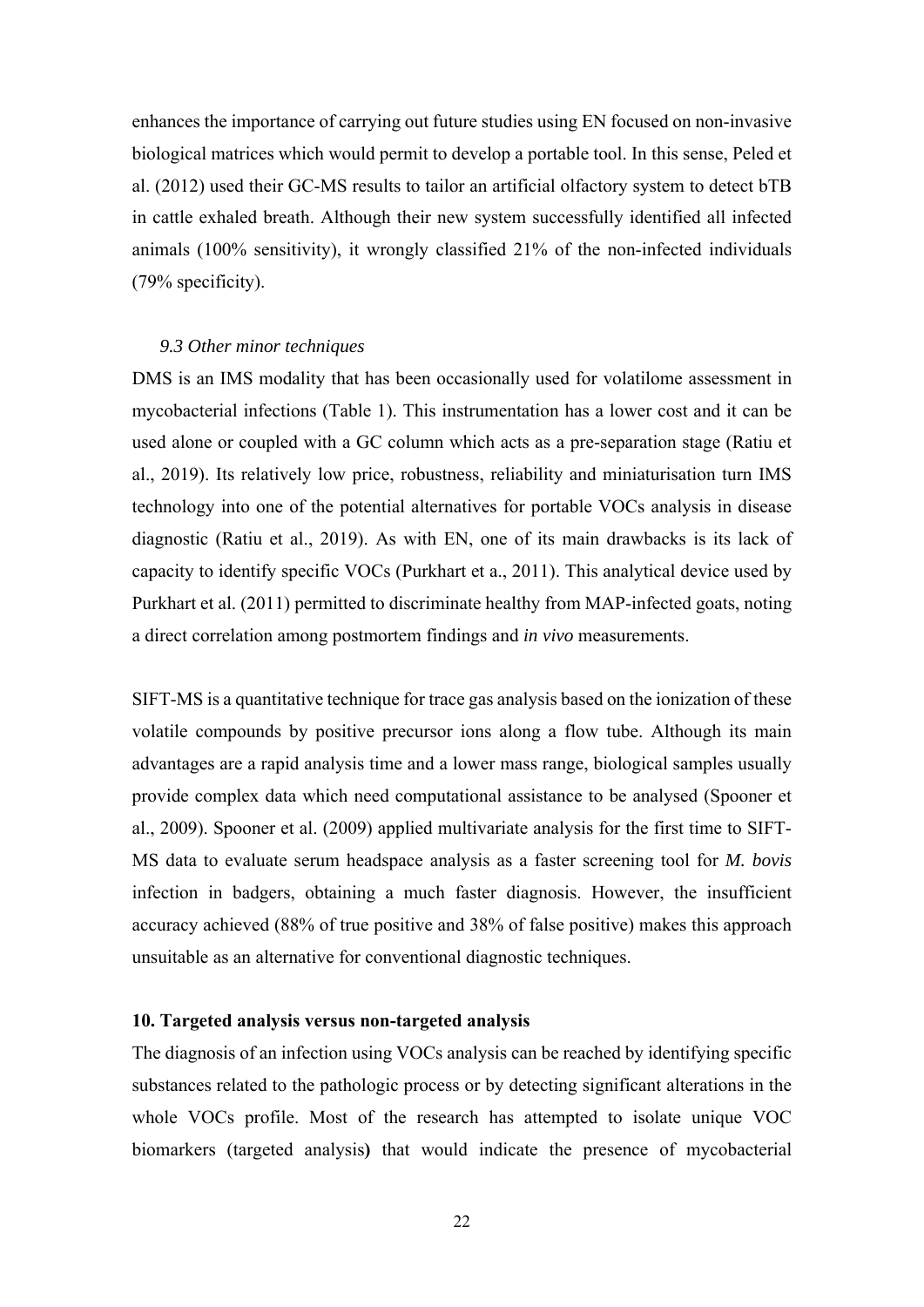enhances the importance of carrying out future studies using EN focused on non-invasive biological matrices which would permit to develop a portable tool. In this sense, Peled et al. (2012) used their GC-MS results to tailor an artificial olfactory system to detect bTB in cattle exhaled breath. Although their new system successfully identified all infected animals (100% sensitivity), it wrongly classified 21% of the non-infected individuals (79% specificity).

#### *9.3 Other minor techniques*

DMS is an IMS modality that has been occasionally used for volatilome assessment in mycobacterial infections (Table 1). This instrumentation has a lower cost and it can be used alone or coupled with a GC column which acts as a pre-separation stage (Ratiu et al., 2019). Its relatively low price, robustness, reliability and miniaturisation turn IMS technology into one of the potential alternatives for portable VOCs analysis in disease diagnostic (Ratiu et al., 2019). As with EN, one of its main drawbacks is its lack of capacity to identify specific VOCs (Purkhart et a., 2011). This analytical device used by Purkhart et al. (2011) permitted to discriminate healthy from MAP-infected goats, noting a direct correlation among postmortem findings and *in vivo* measurements.

SIFT-MS is a quantitative technique for trace gas analysis based on the ionization of these volatile compounds by positive precursor ions along a flow tube. Although its main advantages are a rapid analysis time and a lower mass range, biological samples usually provide complex data which need computational assistance to be analysed (Spooner et al., 2009). Spooner et al. (2009) applied multivariate analysis for the first time to SIFT-MS data to evaluate serum headspace analysis as a faster screening tool for *M. bovis* infection in badgers, obtaining a much faster diagnosis. However, the insufficient accuracy achieved (88% of true positive and 38% of false positive) makes this approach unsuitable as an alternative for conventional diagnostic techniques.

#### **10. Targeted analysis versus non-targeted analysis**

The diagnosis of an infection using VOCs analysis can be reached by identifying specific substances related to the pathologic process or by detecting significant alterations in the whole VOCs profile. Most of the research has attempted to isolate unique VOC biomarkers (targeted analysis**)** that would indicate the presence of mycobacterial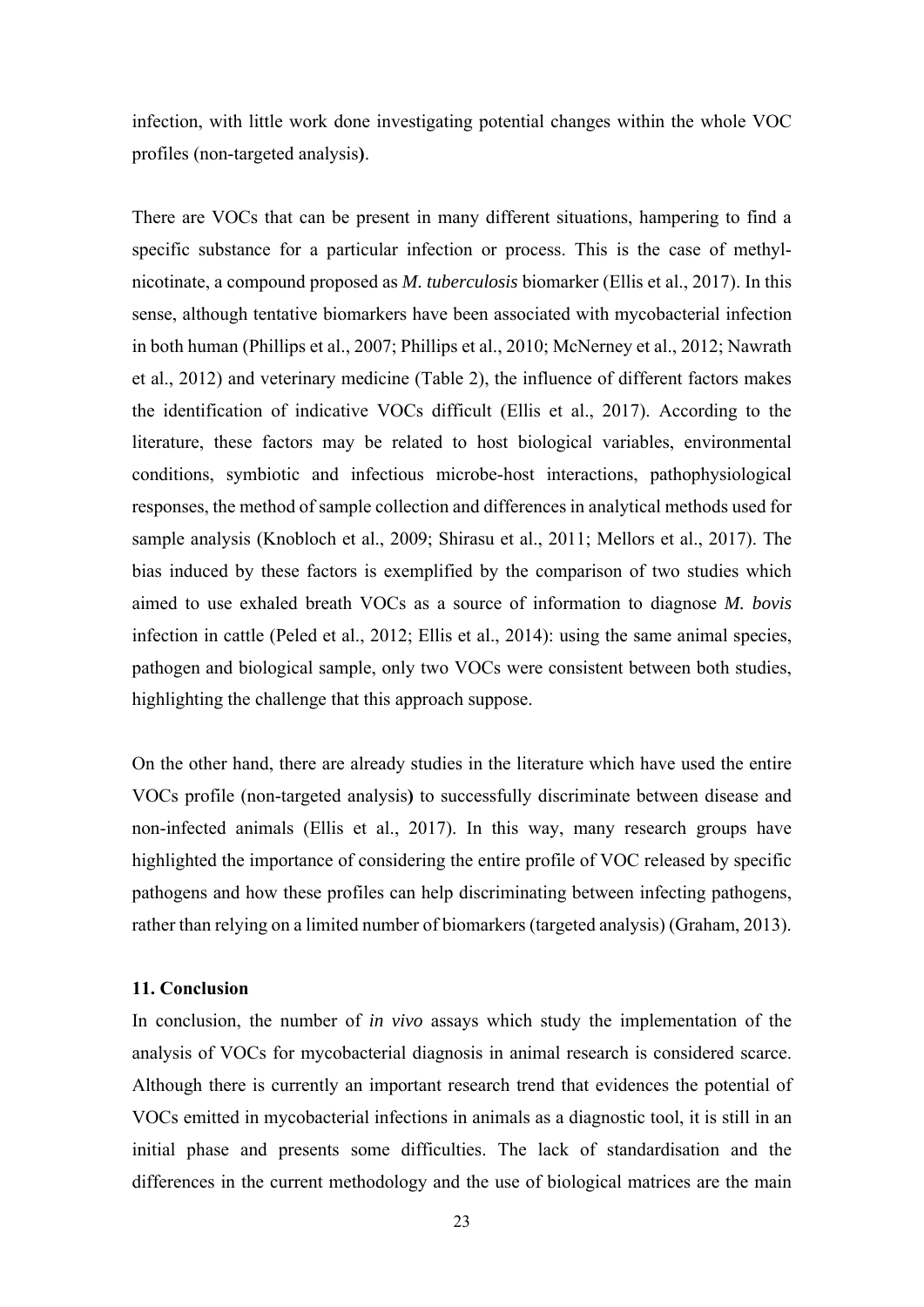infection, with little work done investigating potential changes within the whole VOC profiles (non-targeted analysis**)**.

There are VOCs that can be present in many different situations, hampering to find a specific substance for a particular infection or process. This is the case of methylnicotinate, a compound proposed as *M. tuberculosis* biomarker (Ellis et al., 2017). In this sense, although tentative biomarkers have been associated with mycobacterial infection in both human (Phillips et al., 2007; Phillips et al., 2010; McNerney et al., 2012; Nawrath et al., 2012) and veterinary medicine (Table 2), the influence of different factors makes the identification of indicative VOCs difficult (Ellis et al., 2017). According to the literature, these factors may be related to host biological variables, environmental conditions, symbiotic and infectious microbe-host interactions, pathophysiological responses, the method of sample collection and differences in analytical methods used for sample analysis (Knobloch et al., 2009; Shirasu et al., 2011; Mellors et al., 2017). The bias induced by these factors is exemplified by the comparison of two studies which aimed to use exhaled breath VOCs as a source of information to diagnose *M. bovis* infection in cattle (Peled et al., 2012; Ellis et al., 2014): using the same animal species, pathogen and biological sample, only two VOCs were consistent between both studies, highlighting the challenge that this approach suppose.

On the other hand, there are already studies in the literature which have used the entire VOCs profile (non-targeted analysis**)** to successfully discriminate between disease and non-infected animals (Ellis et al., 2017). In this way, many research groups have highlighted the importance of considering the entire profile of VOC released by specific pathogens and how these profiles can help discriminating between infecting pathogens, rather than relying on a limited number of biomarkers (targeted analysis) (Graham, 2013).

#### **11. Conclusion**

In conclusion, the number of *in vivo* assays which study the implementation of the analysis of VOCs for mycobacterial diagnosis in animal research is considered scarce. Although there is currently an important research trend that evidences the potential of VOCs emitted in mycobacterial infections in animals as a diagnostic tool, it is still in an initial phase and presents some difficulties. The lack of standardisation and the differences in the current methodology and the use of biological matrices are the main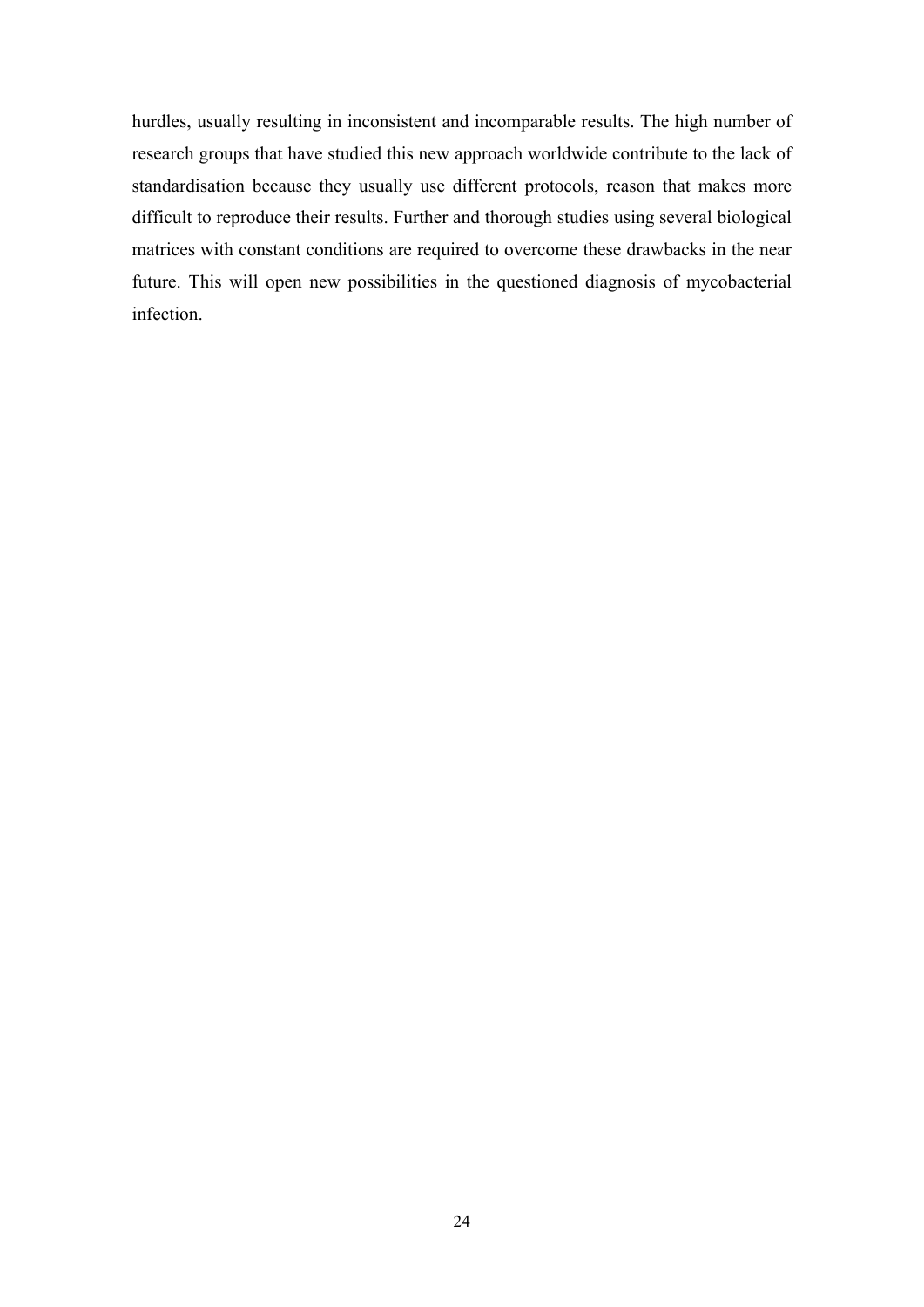hurdles, usually resulting in inconsistent and incomparable results. The high number of research groups that have studied this new approach worldwide contribute to the lack of standardisation because they usually use different protocols, reason that makes more difficult to reproduce their results. Further and thorough studies using several biological matrices with constant conditions are required to overcome these drawbacks in the near future. This will open new possibilities in the questioned diagnosis of mycobacterial infection.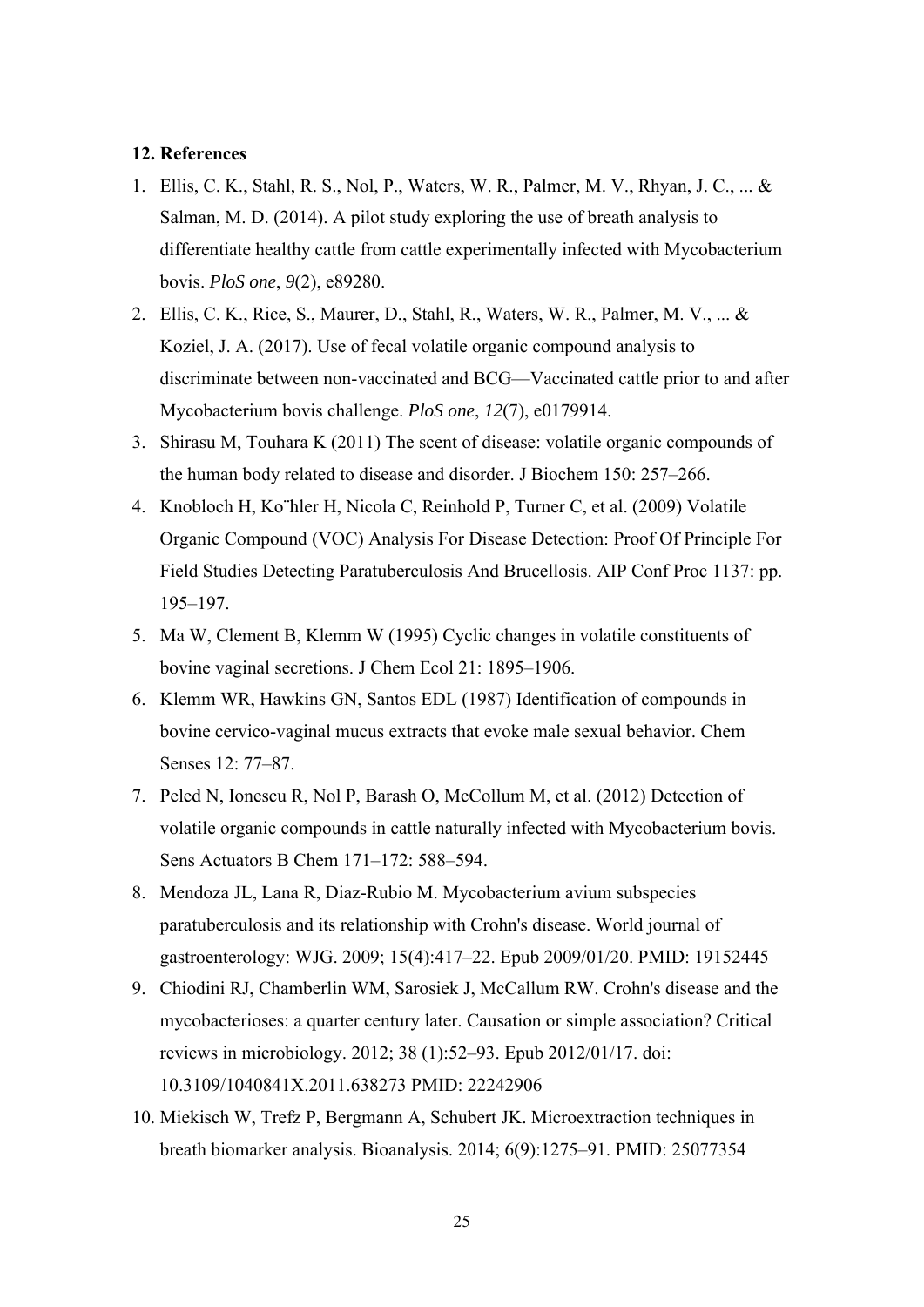#### **12. References**

- 1. Ellis, C. K., Stahl, R. S., Nol, P., Waters, W. R., Palmer, M. V., Rhyan, J. C., ... & Salman, M. D. (2014). A pilot study exploring the use of breath analysis to differentiate healthy cattle from cattle experimentally infected with Mycobacterium bovis. *PloS one*, *9*(2), e89280.
- 2. Ellis, C. K., Rice, S., Maurer, D., Stahl, R., Waters, W. R., Palmer, M. V., ... & Koziel, J. A. (2017). Use of fecal volatile organic compound analysis to discriminate between non-vaccinated and BCG—Vaccinated cattle prior to and after Mycobacterium bovis challenge. *PloS one*, *12*(7), e0179914.
- 3. Shirasu M, Touhara K (2011) The scent of disease: volatile organic compounds of the human body related to disease and disorder. J Biochem 150: 257–266.
- 4. Knobloch H, Ko¨hler H, Nicola C, Reinhold P, Turner C, et al. (2009) Volatile Organic Compound (VOC) Analysis For Disease Detection: Proof Of Principle For Field Studies Detecting Paratuberculosis And Brucellosis. AIP Conf Proc 1137: pp. 195–197.
- 5. Ma W, Clement B, Klemm W (1995) Cyclic changes in volatile constituents of bovine vaginal secretions. J Chem Ecol 21: 1895–1906.
- 6. Klemm WR, Hawkins GN, Santos EDL (1987) Identification of compounds in bovine cervico-vaginal mucus extracts that evoke male sexual behavior. Chem Senses 12: 77–87.
- 7. Peled N, Ionescu R, Nol P, Barash O, McCollum M, et al. (2012) Detection of volatile organic compounds in cattle naturally infected with Mycobacterium bovis. Sens Actuators B Chem 171–172: 588–594.
- 8. Mendoza JL, Lana R, Diaz-Rubio M. Mycobacterium avium subspecies paratuberculosis and its relationship with Crohn's disease. World journal of gastroenterology: WJG. 2009; 15(4):417–22. Epub 2009/01/20. PMID: 19152445
- 9. Chiodini RJ, Chamberlin WM, Sarosiek J, McCallum RW. Crohn's disease and the mycobacterioses: a quarter century later. Causation or simple association? Critical reviews in microbiology. 2012; 38 (1):52–93. Epub 2012/01/17. doi: 10.3109/1040841X.2011.638273 PMID: 22242906
- 10. Miekisch W, Trefz P, Bergmann A, Schubert JK. Microextraction techniques in breath biomarker analysis. Bioanalysis. 2014; 6(9):1275–91. PMID: 25077354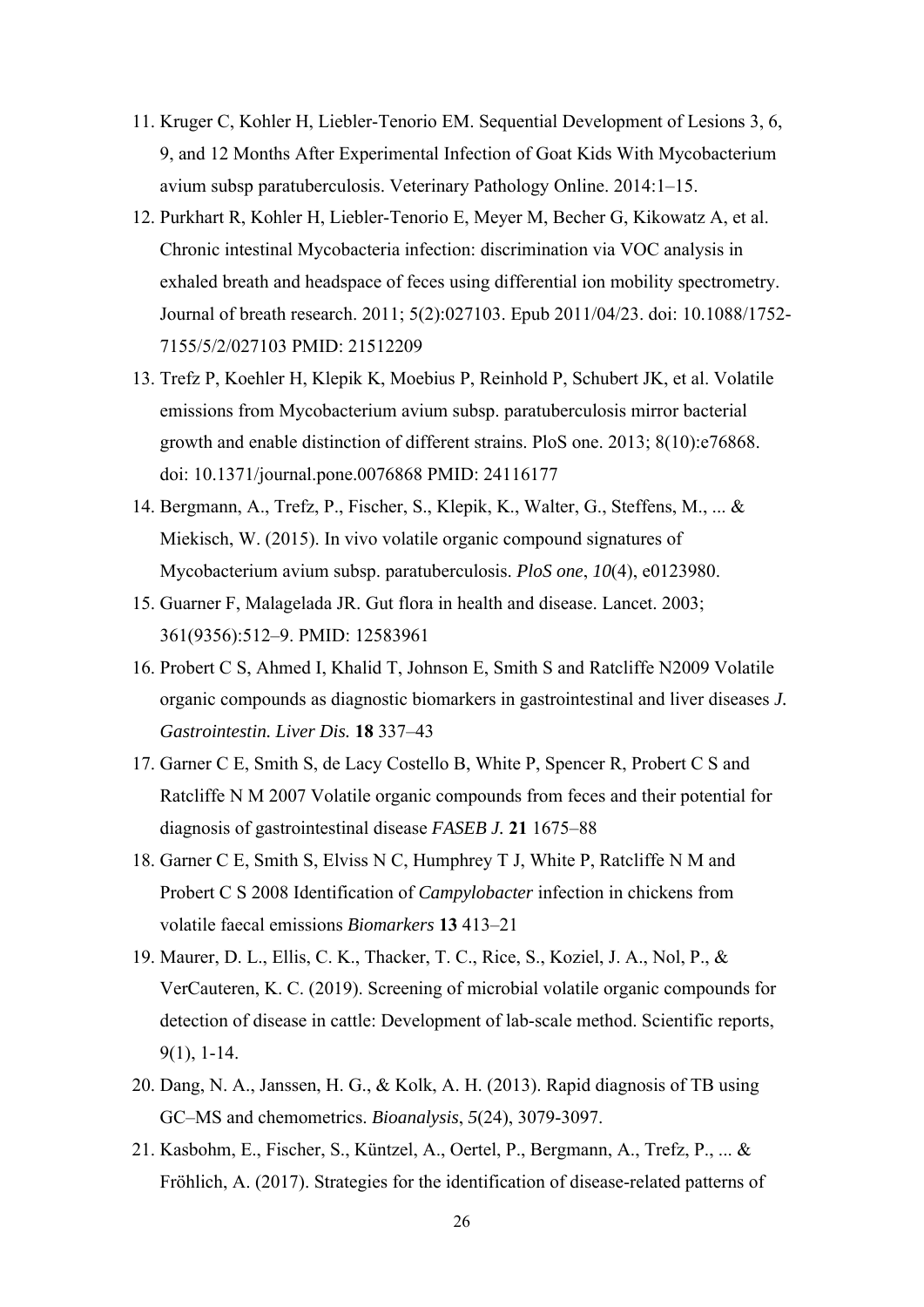- 11. Kruger C, Kohler H, Liebler-Tenorio EM. Sequential Development of Lesions 3, 6, 9, and 12 Months After Experimental Infection of Goat Kids With Mycobacterium avium subsp paratuberculosis. Veterinary Pathology Online. 2014:1–15.
- 12. Purkhart R, Kohler H, Liebler-Tenorio E, Meyer M, Becher G, Kikowatz A, et al. Chronic intestinal Mycobacteria infection: discrimination via VOC analysis in exhaled breath and headspace of feces using differential ion mobility spectrometry. Journal of breath research. 2011; 5(2):027103. Epub 2011/04/23. doi: 10.1088/1752- 7155/5/2/027103 PMID: 21512209
- 13. Trefz P, Koehler H, Klepik K, Moebius P, Reinhold P, Schubert JK, et al. Volatile emissions from Mycobacterium avium subsp. paratuberculosis mirror bacterial growth and enable distinction of different strains. PloS one. 2013; 8(10):e76868. doi: 10.1371/journal.pone.0076868 PMID: 24116177
- 14. Bergmann, A., Trefz, P., Fischer, S., Klepik, K., Walter, G., Steffens, M., ... & Miekisch, W. (2015). In vivo volatile organic compound signatures of Mycobacterium avium subsp. paratuberculosis. *PloS one*, *10*(4), e0123980.
- 15. Guarner F, Malagelada JR. Gut flora in health and disease. Lancet. 2003; 361(9356):512–9. PMID: 12583961
- 16. Probert C S, Ahmed I, Khalid T, Johnson E, Smith S and Ratcliffe N2009 Volatile organic compounds as diagnostic biomarkers in gastrointestinal and liver diseases *J. Gastrointestin. Liver Dis.* **18** 337–43
- 17. Garner C E, Smith S, de Lacy Costello B, White P, Spencer R, Probert C S and Ratcliffe N M 2007 Volatile organic compounds from feces and their potential for diagnosis of gastrointestinal disease *FASEB J.* **21** 1675–88
- 18. Garner C E, Smith S, Elviss N C, Humphrey T J, White P, Ratcliffe N M and Probert C S 2008 Identification of *Campylobacter* infection in chickens from volatile faecal emissions *Biomarkers* **13** 413–21
- 19. Maurer, D. L., Ellis, C. K., Thacker, T. C., Rice, S., Koziel, J. A., Nol, P., & VerCauteren, K. C. (2019). Screening of microbial volatile organic compounds for detection of disease in cattle: Development of lab-scale method. Scientific reports, 9(1), 1-14.
- 20. Dang, N. A., Janssen, H. G., & Kolk, A. H. (2013). Rapid diagnosis of TB using GC–MS and chemometrics. *Bioanalysis*, *5*(24), 3079-3097.
- 21. Kasbohm, E., Fischer, S., Küntzel, A., Oertel, P., Bergmann, A., Trefz, P., ... & Fröhlich, A. (2017). Strategies for the identification of disease-related patterns of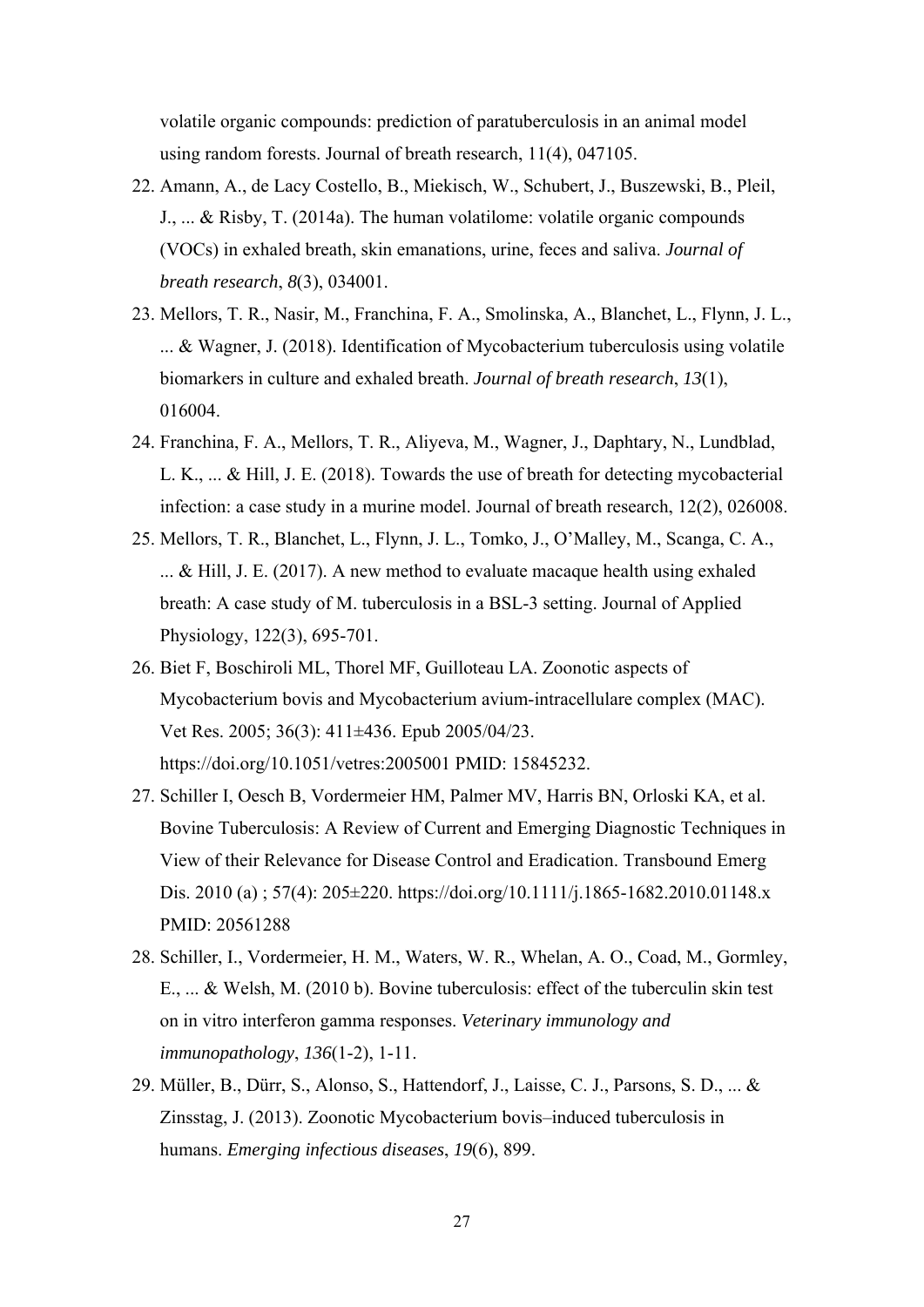volatile organic compounds: prediction of paratuberculosis in an animal model using random forests. Journal of breath research, 11(4), 047105.

- 22. Amann, A., de Lacy Costello, B., Miekisch, W., Schubert, J., Buszewski, B., Pleil, J., ... & Risby, T. (2014a). The human volatilome: volatile organic compounds (VOCs) in exhaled breath, skin emanations, urine, feces and saliva. *Journal of breath research*, *8*(3), 034001.
- 23. Mellors, T. R., Nasir, M., Franchina, F. A., Smolinska, A., Blanchet, L., Flynn, J. L., ... & Wagner, J. (2018). Identification of Mycobacterium tuberculosis using volatile biomarkers in culture and exhaled breath. *Journal of breath research*, *13*(1), 016004.
- 24. Franchina, F. A., Mellors, T. R., Aliyeva, M., Wagner, J., Daphtary, N., Lundblad, L. K., ... & Hill, J. E. (2018). Towards the use of breath for detecting mycobacterial infection: a case study in a murine model. Journal of breath research, 12(2), 026008.
- 25. Mellors, T. R., Blanchet, L., Flynn, J. L., Tomko, J., O'Malley, M., Scanga, C. A., ... & Hill, J. E. (2017). A new method to evaluate macaque health using exhaled breath: A case study of M. tuberculosis in a BSL-3 setting. Journal of Applied Physiology, 122(3), 695-701.
- 26. Biet F, Boschiroli ML, Thorel MF, Guilloteau LA. Zoonotic aspects of Mycobacterium bovis and Mycobacterium avium-intracellulare complex (MAC). Vet Res. 2005; 36(3): 411±436. Epub 2005/04/23. https://doi.org/10.1051/vetres:2005001 PMID: 15845232.
- 27. Schiller I, Oesch B, Vordermeier HM, Palmer MV, Harris BN, Orloski KA, et al. Bovine Tuberculosis: A Review of Current and Emerging Diagnostic Techniques in View of their Relevance for Disease Control and Eradication. Transbound Emerg Dis. 2010 (a) ; 57(4): 205±220. https://doi.org/10.1111/j.1865-1682.2010.01148.x PMID: 20561288
- 28. Schiller, I., Vordermeier, H. M., Waters, W. R., Whelan, A. O., Coad, M., Gormley, E., ... & Welsh, M. (2010 b). Bovine tuberculosis: effect of the tuberculin skin test on in vitro interferon gamma responses. *Veterinary immunology and immunopathology*, *136*(1-2), 1-11.
- 29. Müller, B., Dürr, S., Alonso, S., Hattendorf, J., Laisse, C. J., Parsons, S. D., ... & Zinsstag, J. (2013). Zoonotic Mycobacterium bovis–induced tuberculosis in humans. *Emerging infectious diseases*, *19*(6), 899.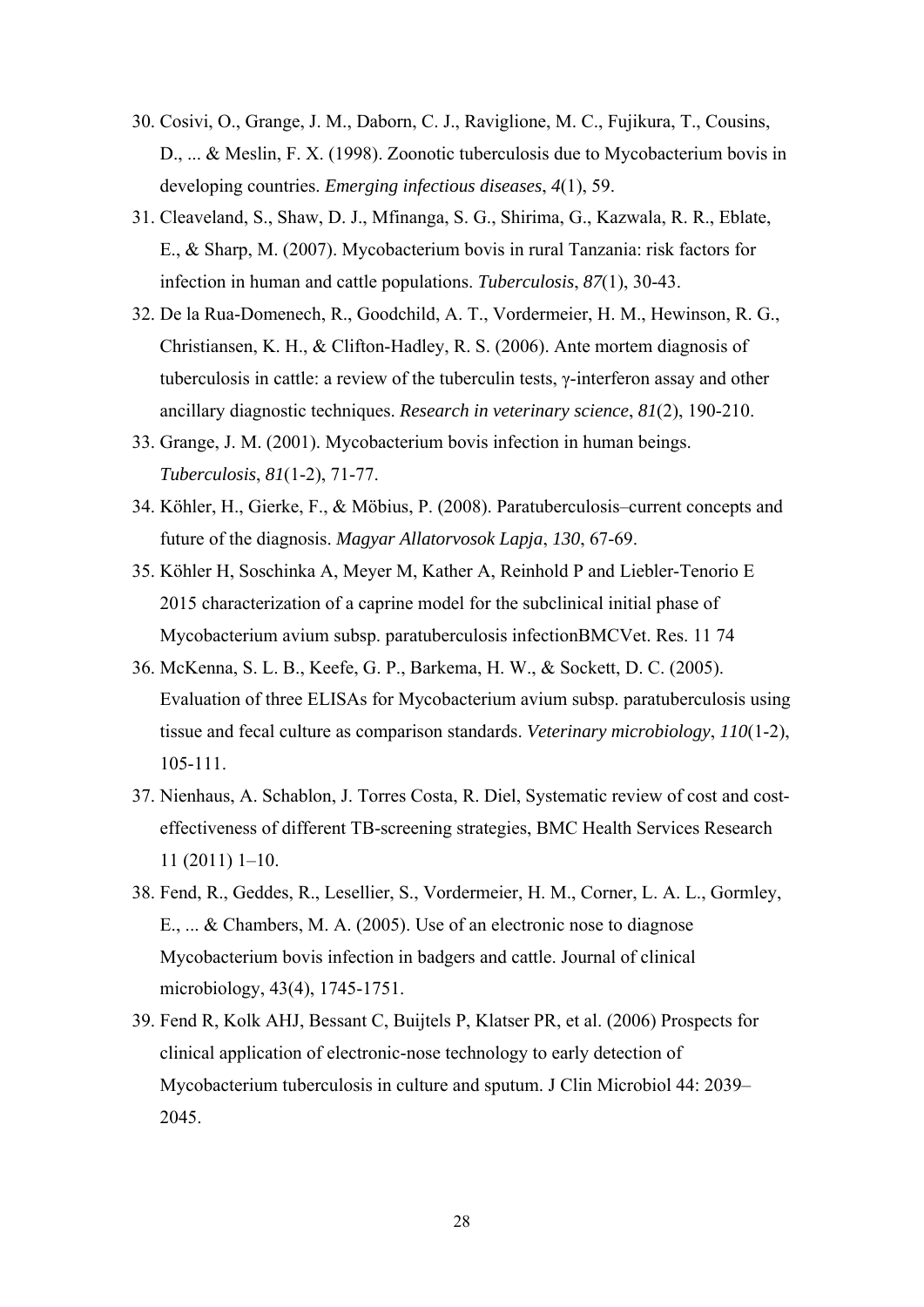- 30. Cosivi, O., Grange, J. M., Daborn, C. J., Raviglione, M. C., Fujikura, T., Cousins, D., ... & Meslin, F. X. (1998). Zoonotic tuberculosis due to Mycobacterium bovis in developing countries. *Emerging infectious diseases*, *4*(1), 59.
- 31. Cleaveland, S., Shaw, D. J., Mfinanga, S. G., Shirima, G., Kazwala, R. R., Eblate, E., & Sharp, M. (2007). Mycobacterium bovis in rural Tanzania: risk factors for infection in human and cattle populations. *Tuberculosis*, *87*(1), 30-43.
- 32. De la Rua-Domenech, R., Goodchild, A. T., Vordermeier, H. M., Hewinson, R. G., Christiansen, K. H., & Clifton-Hadley, R. S. (2006). Ante mortem diagnosis of tuberculosis in cattle: a review of the tuberculin tests, γ-interferon assay and other ancillary diagnostic techniques. *Research in veterinary science*, *81*(2), 190-210.
- 33. Grange, J. M. (2001). Mycobacterium bovis infection in human beings. *Tuberculosis*, *81*(1-2), 71-77.
- 34. Köhler, H., Gierke, F., & Möbius, P. (2008). Paratuberculosis–current concepts and future of the diagnosis. *Magyar Allatorvosok Lapja*, *130*, 67-69.
- 35. Köhler H, Soschinka A, Meyer M, Kather A, Reinhold P and Liebler-Tenorio E 2015 characterization of a caprine model for the subclinical initial phase of Mycobacterium avium subsp. paratuberculosis infectionBMCVet. Res. 11 74
- 36. McKenna, S. L. B., Keefe, G. P., Barkema, H. W., & Sockett, D. C. (2005). Evaluation of three ELISAs for Mycobacterium avium subsp. paratuberculosis using tissue and fecal culture as comparison standards. *Veterinary microbiology*, *110*(1-2), 105-111.
- 37. Nienhaus, A. Schablon, J. Torres Costa, R. Diel, Systematic review of cost and costeffectiveness of different TB-screening strategies, BMC Health Services Research 11 (2011) 1–10.
- 38. Fend, R., Geddes, R., Lesellier, S., Vordermeier, H. M., Corner, L. A. L., Gormley, E., ... & Chambers, M. A. (2005). Use of an electronic nose to diagnose Mycobacterium bovis infection in badgers and cattle. Journal of clinical microbiology, 43(4), 1745-1751.
- 39. Fend R, Kolk AHJ, Bessant C, Buijtels P, Klatser PR, et al. (2006) Prospects for clinical application of electronic-nose technology to early detection of Mycobacterium tuberculosis in culture and sputum. J Clin Microbiol 44: 2039– 2045.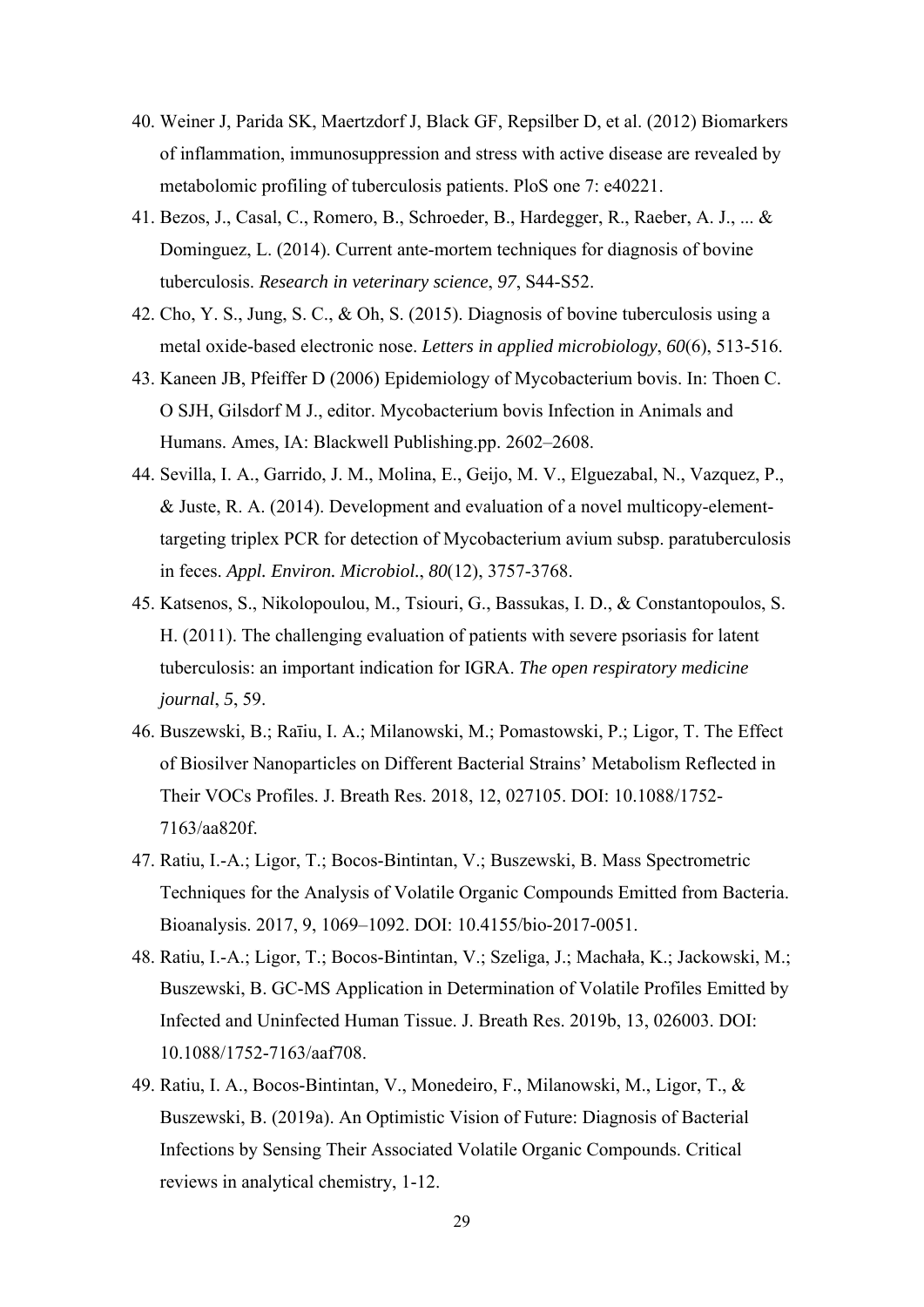- 40. Weiner J, Parida SK, Maertzdorf J, Black GF, Repsilber D, et al. (2012) Biomarkers of inflammation, immunosuppression and stress with active disease are revealed by metabolomic profiling of tuberculosis patients. PloS one 7: e40221.
- 41. Bezos, J., Casal, C., Romero, B., Schroeder, B., Hardegger, R., Raeber, A. J., ... & Dominguez, L. (2014). Current ante-mortem techniques for diagnosis of bovine tuberculosis. *Research in veterinary science*, *97*, S44-S52.
- 42. Cho, Y. S., Jung, S. C., & Oh, S. (2015). Diagnosis of bovine tuberculosis using a metal oxide‐based electronic nose. *Letters in applied microbiology*, *60*(6), 513-516.
- 43. Kaneen JB, Pfeiffer D (2006) Epidemiology of Mycobacterium bovis. In: Thoen C. O SJH, Gilsdorf M J., editor. Mycobacterium bovis Infection in Animals and Humans. Ames, IA: Blackwell Publishing.pp. 2602–2608.
- 44. Sevilla, I. A., Garrido, J. M., Molina, E., Geijo, M. V., Elguezabal, N., Vazquez, P., & Juste, R. A. (2014). Development and evaluation of a novel multicopy-elementtargeting triplex PCR for detection of Mycobacterium avium subsp. paratuberculosis in feces. *Appl. Environ. Microbiol.*, *80*(12), 3757-3768.
- 45. Katsenos, S., Nikolopoulou, M., Tsiouri, G., Bassukas, I. D., & Constantopoulos, S. H. (2011). The challenging evaluation of patients with severe psoriasis for latent tuberculosis: an important indication for IGRA. *The open respiratory medicine journal*, *5*, 59.
- 46. Buszewski, B.; Raīiu, I. A.; Milanowski, M.; Pomastowski, P.; Ligor, T. The Effect of Biosilver Nanoparticles on Different Bacterial Strains' Metabolism Reflected in Their VOCs Profiles. J. Breath Res. 2018, 12, 027105. DOI: 10.1088/1752- 7163/aa820f.
- 47. Ratiu, I.-A.; Ligor, T.; Bocos-Bintintan, V.; Buszewski, B. Mass Spectrometric Techniques for the Analysis of Volatile Organic Compounds Emitted from Bacteria. Bioanalysis. 2017, 9, 1069–1092. DOI: 10.4155/bio-2017-0051.
- 48. Ratiu, I.-A.; Ligor, T.; Bocos-Bintintan, V.; Szeliga, J.; Machała, K.; Jackowski, M.; Buszewski, B. GC-MS Application in Determination of Volatile Profiles Emitted by Infected and Uninfected Human Tissue. J. Breath Res. 2019b, 13, 026003. DOI: 10.1088/1752-7163/aaf708.
- 49. Ratiu, I. A., Bocos-Bintintan, V., Monedeiro, F., Milanowski, M., Ligor, T., & Buszewski, B. (2019a). An Optimistic Vision of Future: Diagnosis of Bacterial Infections by Sensing Their Associated Volatile Organic Compounds. Critical reviews in analytical chemistry, 1-12.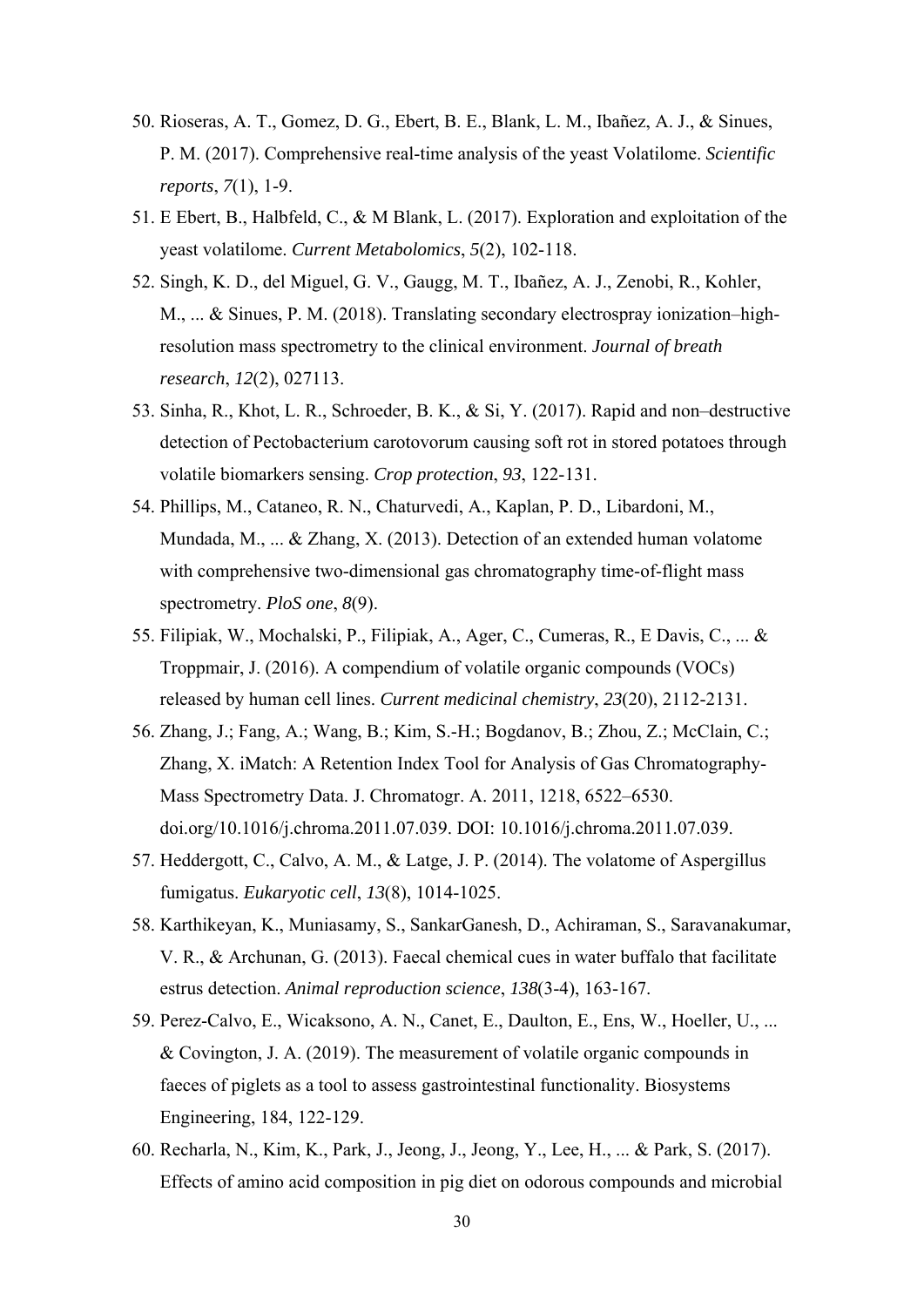- 50. Rioseras, A. T., Gomez, D. G., Ebert, B. E., Blank, L. M., Ibañez, A. J., & Sinues, P. M. (2017). Comprehensive real-time analysis of the yeast Volatilome. *Scientific reports*, *7*(1), 1-9.
- 51. E Ebert, B., Halbfeld, C., & M Blank, L. (2017). Exploration and exploitation of the yeast volatilome. *Current Metabolomics*, *5*(2), 102-118.
- 52. Singh, K. D., del Miguel, G. V., Gaugg, M. T., Ibañez, A. J., Zenobi, R., Kohler, M., ... & Sinues, P. M. (2018). Translating secondary electrospray ionization–highresolution mass spectrometry to the clinical environment. *Journal of breath research*, *12*(2), 027113.
- 53. Sinha, R., Khot, L. R., Schroeder, B. K., & Si, Y. (2017). Rapid and non–destructive detection of Pectobacterium carotovorum causing soft rot in stored potatoes through volatile biomarkers sensing. *Crop protection*, *93*, 122-131.
- 54. Phillips, M., Cataneo, R. N., Chaturvedi, A., Kaplan, P. D., Libardoni, M., Mundada, M., ... & Zhang, X. (2013). Detection of an extended human volatome with comprehensive two-dimensional gas chromatography time-of-flight mass spectrometry. *PloS one*, *8*(9).
- 55. Filipiak, W., Mochalski, P., Filipiak, A., Ager, C., Cumeras, R., E Davis, C., ... & Troppmair, J. (2016). A compendium of volatile organic compounds (VOCs) released by human cell lines. *Current medicinal chemistry*, *23*(20), 2112-2131.
- 56. Zhang, J.; Fang, A.; Wang, B.; Kim, S.-H.; Bogdanov, B.; Zhou, Z.; McClain, C.; Zhang, X. iMatch: A Retention Index Tool for Analysis of Gas Chromatography-Mass Spectrometry Data. J. Chromatogr. A. 2011, 1218, 6522–6530. doi.org/10.1016/j.chroma.2011.07.039. DOI: 10.1016/j.chroma.2011.07.039.
- 57. Heddergott, C., Calvo, A. M., & Latge, J. P. (2014). The volatome of Aspergillus fumigatus. *Eukaryotic cell*, *13*(8), 1014-1025.
- 58. Karthikeyan, K., Muniasamy, S., SankarGanesh, D., Achiraman, S., Saravanakumar, V. R., & Archunan, G. (2013). Faecal chemical cues in water buffalo that facilitate estrus detection. *Animal reproduction science*, *138*(3-4), 163-167.
- 59. Perez-Calvo, E., Wicaksono, A. N., Canet, E., Daulton, E., Ens, W., Hoeller, U., ... & Covington, J. A. (2019). The measurement of volatile organic compounds in faeces of piglets as a tool to assess gastrointestinal functionality. Biosystems Engineering, 184, 122-129.
- 60. Recharla, N., Kim, K., Park, J., Jeong, J., Jeong, Y., Lee, H., ... & Park, S. (2017). Effects of amino acid composition in pig diet on odorous compounds and microbial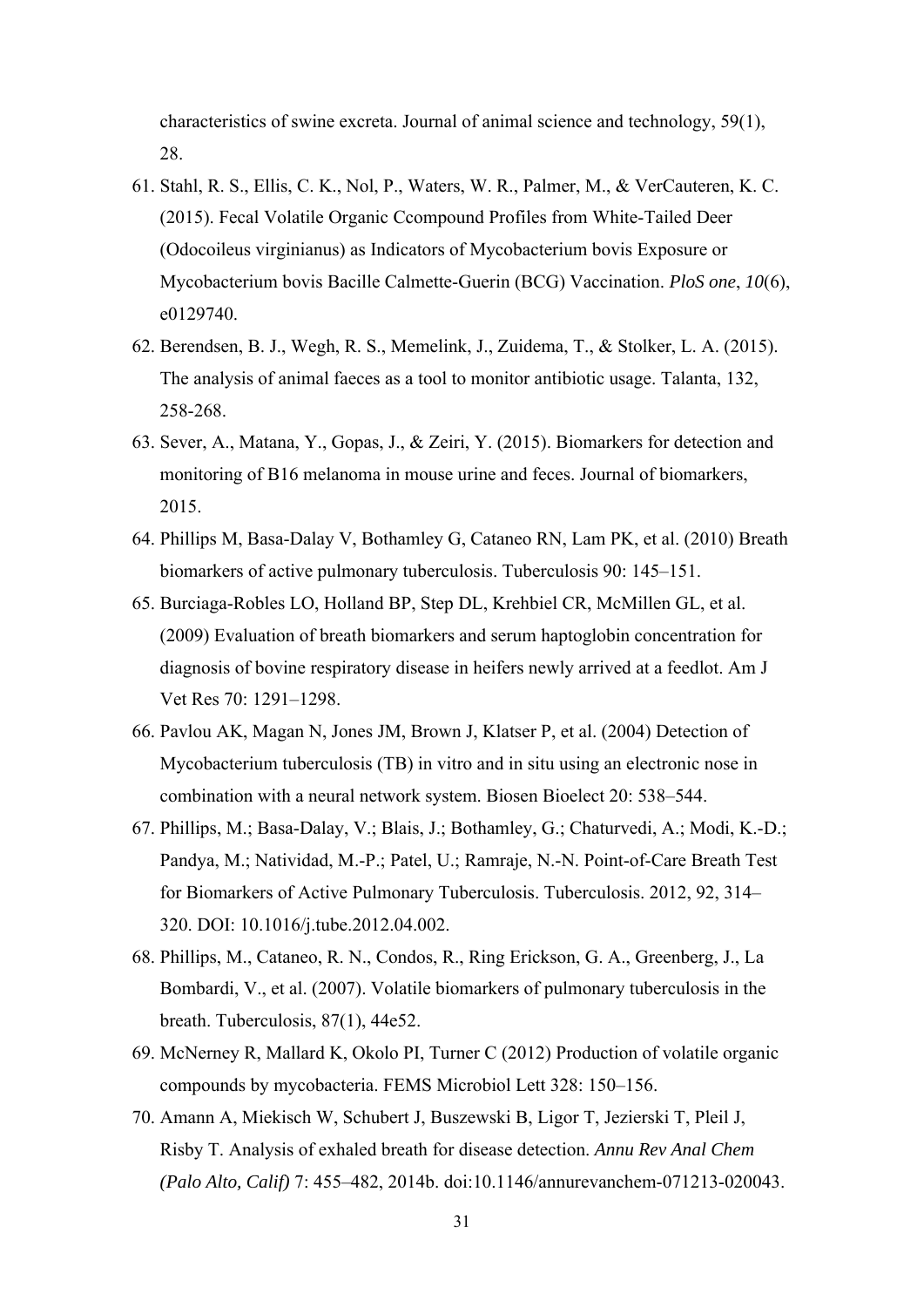characteristics of swine excreta. Journal of animal science and technology, 59(1), 28.

- 61. Stahl, R. S., Ellis, C. K., Nol, P., Waters, W. R., Palmer, M., & VerCauteren, K. C. (2015). Fecal Volatile Organic Ccompound Profiles from White-Tailed Deer (Odocoileus virginianus) as Indicators of Mycobacterium bovis Exposure or Mycobacterium bovis Bacille Calmette-Guerin (BCG) Vaccination. *PloS one*, *10*(6), e0129740.
- 62. Berendsen, B. J., Wegh, R. S., Memelink, J., Zuidema, T., & Stolker, L. A. (2015). The analysis of animal faeces as a tool to monitor antibiotic usage. Talanta, 132, 258-268.
- 63. Sever, A., Matana, Y., Gopas, J., & Zeiri, Y. (2015). Biomarkers for detection and monitoring of B16 melanoma in mouse urine and feces. Journal of biomarkers, 2015.
- 64. Phillips M, Basa-Dalay V, Bothamley G, Cataneo RN, Lam PK, et al. (2010) Breath biomarkers of active pulmonary tuberculosis. Tuberculosis 90: 145–151.
- 65. Burciaga-Robles LO, Holland BP, Step DL, Krehbiel CR, McMillen GL, et al. (2009) Evaluation of breath biomarkers and serum haptoglobin concentration for diagnosis of bovine respiratory disease in heifers newly arrived at a feedlot. Am J Vet Res 70: 1291–1298.
- 66. Pavlou AK, Magan N, Jones JM, Brown J, Klatser P, et al. (2004) Detection of Mycobacterium tuberculosis (TB) in vitro and in situ using an electronic nose in combination with a neural network system. Biosen Bioelect 20: 538–544.
- 67. Phillips, M.; Basa-Dalay, V.; Blais, J.; Bothamley, G.; Chaturvedi, A.; Modi, K.-D.; Pandya, M.; Natividad, M.-P.; Patel, U.; Ramraje, N.-N. Point-of-Care Breath Test for Biomarkers of Active Pulmonary Tuberculosis. Tuberculosis. 2012, 92, 314– 320. DOI: 10.1016/j.tube.2012.04.002.
- 68. Phillips, M., Cataneo, R. N., Condos, R., Ring Erickson, G. A., Greenberg, J., La Bombardi, V., et al. (2007). Volatile biomarkers of pulmonary tuberculosis in the breath. Tuberculosis, 87(1), 44e52.
- 69. McNerney R, Mallard K, Okolo PI, Turner C (2012) Production of volatile organic compounds by mycobacteria. FEMS Microbiol Lett 328: 150–156.
- 70. Amann A, Miekisch W, Schubert J, Buszewski B, Ligor T, Jezierski T, Pleil J, Risby T. Analysis of exhaled breath for disease detection. *Annu Rev Anal Chem (Palo Alto, Calif)* 7: 455–482, 2014b. doi:10.1146/annurevanchem-071213-020043.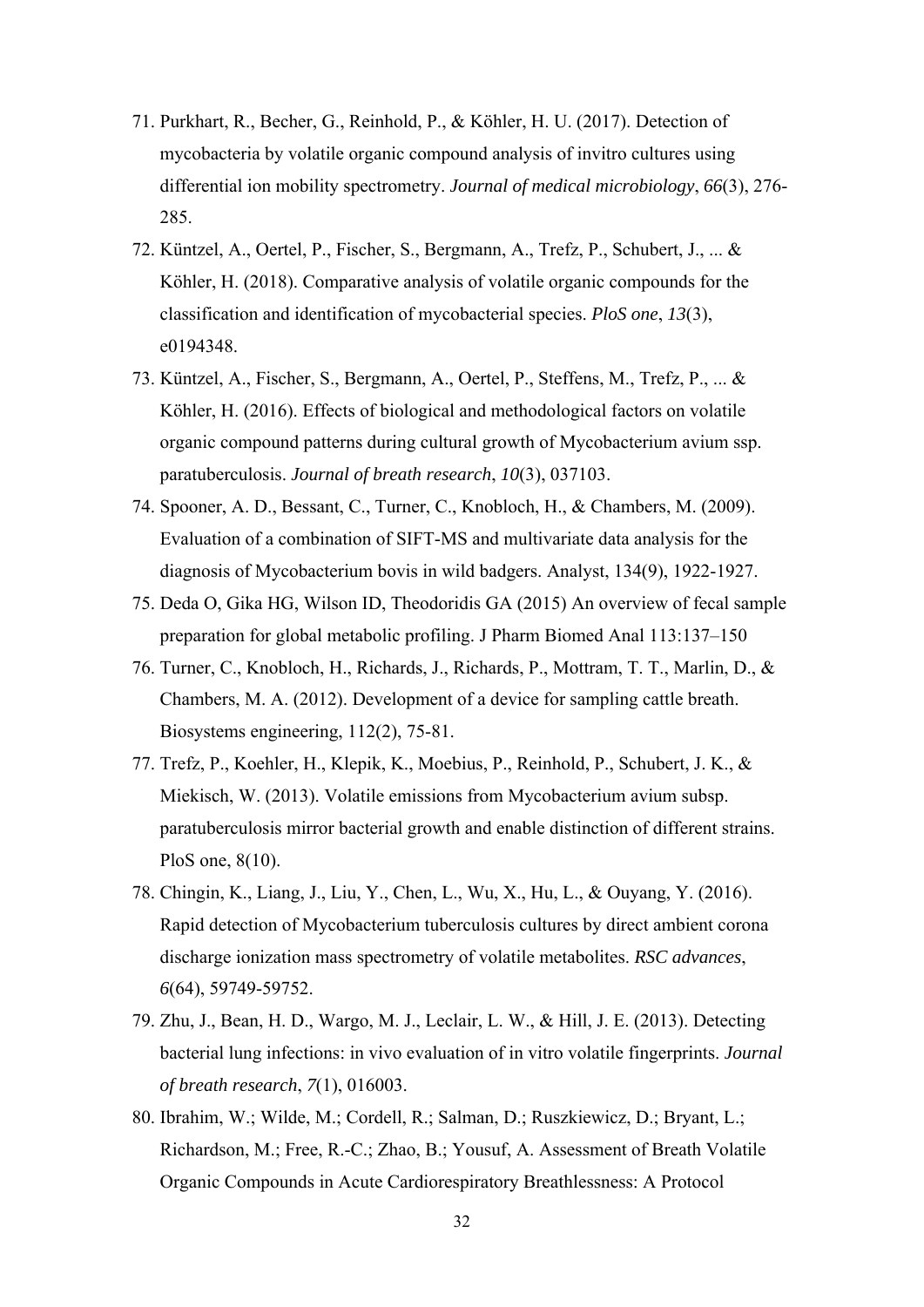- 71. Purkhart, R., Becher, G., Reinhold, P., & Köhler, H. U. (2017). Detection of mycobacteria by volatile organic compound analysis of invitro cultures using differential ion mobility spectrometry. *Journal of medical microbiology*, *66*(3), 276- 285.
- 72. Küntzel, A., Oertel, P., Fischer, S., Bergmann, A., Trefz, P., Schubert, J., ... & Köhler, H. (2018). Comparative analysis of volatile organic compounds for the classification and identification of mycobacterial species. *PloS one*, *13*(3), e0194348.
- 73. Küntzel, A., Fischer, S., Bergmann, A., Oertel, P., Steffens, M., Trefz, P., ... & Köhler, H. (2016). Effects of biological and methodological factors on volatile organic compound patterns during cultural growth of Mycobacterium avium ssp. paratuberculosis. *Journal of breath research*, *10*(3), 037103.
- 74. Spooner, A. D., Bessant, C., Turner, C., Knobloch, H., & Chambers, M. (2009). Evaluation of a combination of SIFT-MS and multivariate data analysis for the diagnosis of Mycobacterium bovis in wild badgers. Analyst, 134(9), 1922-1927.
- 75. Deda O, Gika HG, Wilson ID, Theodoridis GA (2015) An overview of fecal sample preparation for global metabolic profiling. J Pharm Biomed Anal 113:137–150
- 76. Turner, C., Knobloch, H., Richards, J., Richards, P., Mottram, T. T., Marlin, D., & Chambers, M. A. (2012). Development of a device for sampling cattle breath. Biosystems engineering, 112(2), 75-81.
- 77. Trefz, P., Koehler, H., Klepik, K., Moebius, P., Reinhold, P., Schubert, J. K., & Miekisch, W. (2013). Volatile emissions from Mycobacterium avium subsp. paratuberculosis mirror bacterial growth and enable distinction of different strains. PloS one, 8(10).
- 78. Chingin, K., Liang, J., Liu, Y., Chen, L., Wu, X., Hu, L., & Ouyang, Y. (2016). Rapid detection of Mycobacterium tuberculosis cultures by direct ambient corona discharge ionization mass spectrometry of volatile metabolites. *RSC advances*, *6*(64), 59749-59752.
- 79. Zhu, J., Bean, H. D., Wargo, M. J., Leclair, L. W., & Hill, J. E. (2013). Detecting bacterial lung infections: in vivo evaluation of in vitro volatile fingerprints. *Journal of breath research*, *7*(1), 016003.
- 80. Ibrahim, W.; Wilde, M.; Cordell, R.; Salman, D.; Ruszkiewicz, D.; Bryant, L.; Richardson, M.; Free, R.-C.; Zhao, B.; Yousuf, A. Assessment of Breath Volatile Organic Compounds in Acute Cardiorespiratory Breathlessness: A Protocol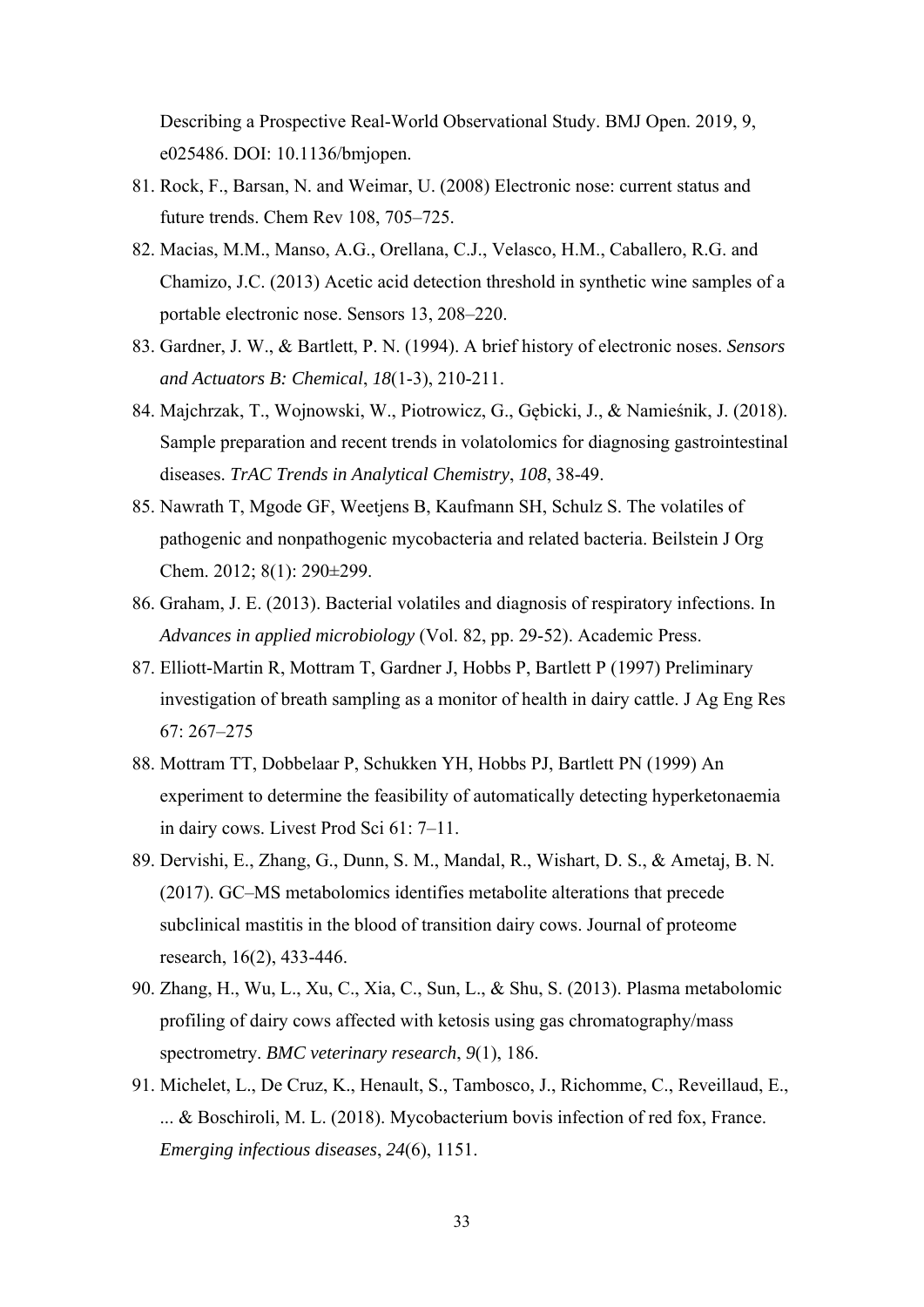Describing a Prospective Real-World Observational Study. BMJ Open. 2019, 9, e025486. DOI: 10.1136/bmjopen.

- 81. Rock, F., Barsan, N. and Weimar, U. (2008) Electronic nose: current status and future trends. Chem Rev 108, 705–725.
- 82. Macias, M.M., Manso, A.G., Orellana, C.J., Velasco, H.M., Caballero, R.G. and Chamizo, J.C. (2013) Acetic acid detection threshold in synthetic wine samples of a portable electronic nose. Sensors 13, 208–220.
- 83. Gardner, J. W., & Bartlett, P. N. (1994). A brief history of electronic noses. *Sensors and Actuators B: Chemical*, *18*(1-3), 210-211.
- 84. Majchrzak, T., Wojnowski, W., Piotrowicz, G., Gębicki, J., & Namieśnik, J. (2018). Sample preparation and recent trends in volatolomics for diagnosing gastrointestinal diseases. *TrAC Trends in Analytical Chemistry*, *108*, 38-49.
- 85. Nawrath T, Mgode GF, Weetjens B, Kaufmann SH, Schulz S. The volatiles of pathogenic and nonpathogenic mycobacteria and related bacteria. Beilstein J Org Chem. 2012; 8(1): 290±299.
- 86. Graham, J. E. (2013). Bacterial volatiles and diagnosis of respiratory infections. In *Advances in applied microbiology* (Vol. 82, pp. 29-52). Academic Press.
- 87. Elliott-Martin R, Mottram T, Gardner J, Hobbs P, Bartlett P (1997) Preliminary investigation of breath sampling as a monitor of health in dairy cattle. J Ag Eng Res 67: 267–275
- 88. Mottram TT, Dobbelaar P, Schukken YH, Hobbs PJ, Bartlett PN (1999) An experiment to determine the feasibility of automatically detecting hyperketonaemia in dairy cows. Livest Prod Sci 61: 7–11.
- 89. Dervishi, E., Zhang, G., Dunn, S. M., Mandal, R., Wishart, D. S., & Ametaj, B. N. (2017). GC–MS metabolomics identifies metabolite alterations that precede subclinical mastitis in the blood of transition dairy cows. Journal of proteome research, 16(2), 433-446.
- 90. Zhang, H., Wu, L., Xu, C., Xia, C., Sun, L., & Shu, S. (2013). Plasma metabolomic profiling of dairy cows affected with ketosis using gas chromatography/mass spectrometry. *BMC veterinary research*, *9*(1), 186.
- 91. Michelet, L., De Cruz, K., Henault, S., Tambosco, J., Richomme, C., Reveillaud, E., ... & Boschiroli, M. L. (2018). Mycobacterium bovis infection of red fox, France. *Emerging infectious diseases*, *24*(6), 1151.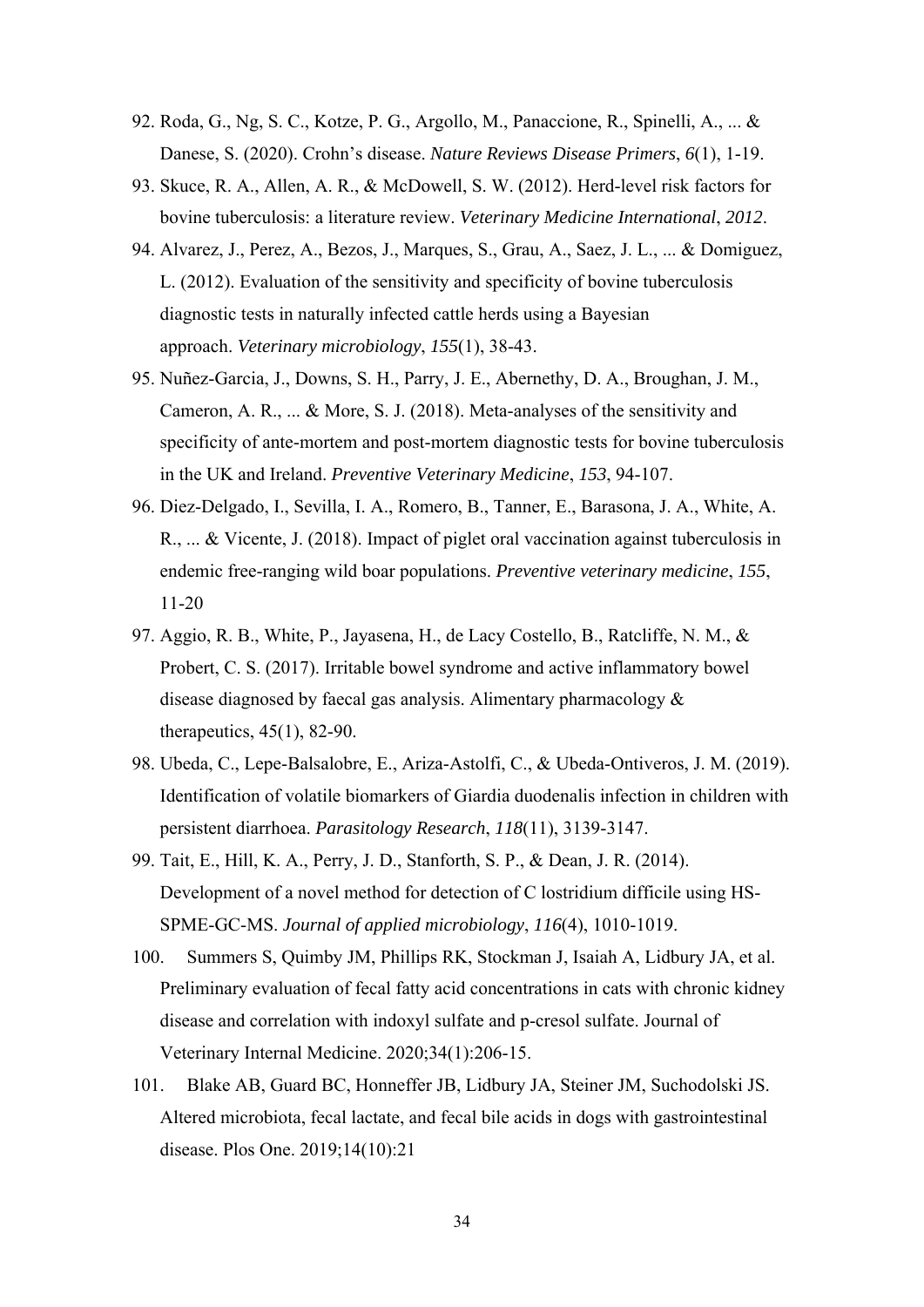- 92. Roda, G., Ng, S. C., Kotze, P. G., Argollo, M., Panaccione, R., Spinelli, A., ... & Danese, S. (2020). Crohn's disease. *Nature Reviews Disease Primers*, *6*(1), 1-19.
- 93. Skuce, R. A., Allen, A. R., & McDowell, S. W. (2012). Herd-level risk factors for bovine tuberculosis: a literature review. *Veterinary Medicine International*, *2012*.
- 94. Alvarez, J., Perez, A., Bezos, J., Marques, S., Grau, A., Saez, J. L., ... & Domiguez, L. (2012). Evaluation of the sensitivity and specificity of bovine tuberculosis diagnostic tests in naturally infected cattle herds using a Bayesian approach. *Veterinary microbiology*, *155*(1), 38-43.
- 95. Nuñez-Garcia, J., Downs, S. H., Parry, J. E., Abernethy, D. A., Broughan, J. M., Cameron, A. R., ... & More, S. J. (2018). Meta-analyses of the sensitivity and specificity of ante-mortem and post-mortem diagnostic tests for bovine tuberculosis in the UK and Ireland. *Preventive Veterinary Medicine*, *153*, 94-107.
- 96. Diez-Delgado, I., Sevilla, I. A., Romero, B., Tanner, E., Barasona, J. A., White, A. R., ... & Vicente, J. (2018). Impact of piglet oral vaccination against tuberculosis in endemic free-ranging wild boar populations. *Preventive veterinary medicine*, *155*, 11-20
- 97. Aggio, R. B., White, P., Jayasena, H., de Lacy Costello, B., Ratcliffe, N. M., & Probert, C. S. (2017). Irritable bowel syndrome and active inflammatory bowel disease diagnosed by faecal gas analysis. Alimentary pharmacology & therapeutics, 45(1), 82-90.
- 98. Ubeda, C., Lepe-Balsalobre, E., Ariza-Astolfi, C., & Ubeda-Ontiveros, J. M. (2019). Identification of volatile biomarkers of Giardia duodenalis infection in children with persistent diarrhoea. *Parasitology Research*, *118*(11), 3139-3147.
- 99. Tait, E., Hill, K. A., Perry, J. D., Stanforth, S. P., & Dean, J. R. (2014). Development of a novel method for detection of C lostridium difficile using HS‐ SPME‐GC‐MS. *Journal of applied microbiology*, *116*(4), 1010-1019.
- 100. Summers S, Quimby JM, Phillips RK, Stockman J, Isaiah A, Lidbury JA, et al. Preliminary evaluation of fecal fatty acid concentrations in cats with chronic kidney disease and correlation with indoxyl sulfate and p-cresol sulfate. Journal of Veterinary Internal Medicine. 2020;34(1):206-15.
- 101. Blake AB, Guard BC, Honneffer JB, Lidbury JA, Steiner JM, Suchodolski JS. Altered microbiota, fecal lactate, and fecal bile acids in dogs with gastrointestinal disease. Plos One. 2019;14(10):21